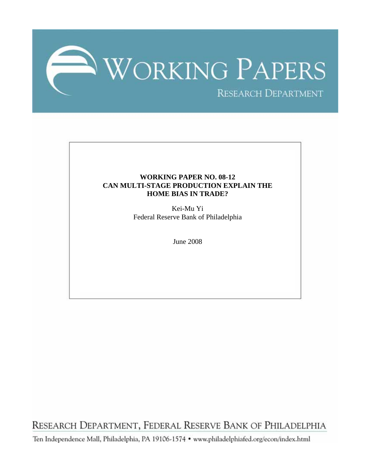

# **WORKING PAPER NO. 08-12 CAN MULTI-STAGE PRODUCTION EXPLAIN THE HOME BIAS IN TRADE?**

Kei-Mu Yi Federal Reserve Bank of Philadelphia

June 2008

RESEARCH DEPARTMENT, FEDERAL RESERVE BANK OF PHILADELPHIA

Ten Independence Mall, Philadelphia, PA 19106-1574 · www.philadelphiafed.org/econ/index.html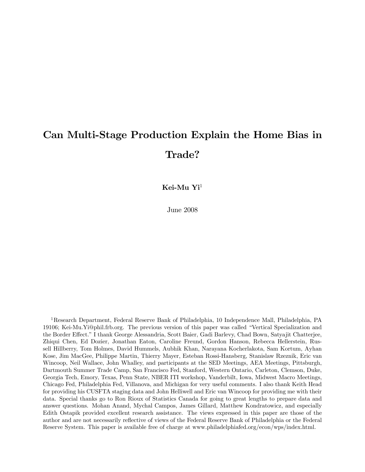# Can Multi-Stage Production Explain the Home Bias in Trade?

Kei-Mu Yi<sup>1</sup>

June 2008

1Research Department, Federal Reserve Bank of Philadelphia, 10 Independence Mall, Philadelphia, PA 19106; Kei-Mu.Yi@phil.frb.org. The previous version of this paper was called "Vertical Specialization and the Border Effect." I thank George Alessandria, Scott Baier, Gadi Barlevy, Chad Bown, Satyajit Chatterjee, Zhiqui Chen, Ed Dozier, Jonathan Eaton, Caroline Freund, Gordon Hanson, Rebecca Hellerstein, Russell Hillberry, Tom Holmes, David Hummels, Aubhik Khan, Narayana Kocherlakota, Sam Kortum, Ayhan Kose, Jim MacGee, Philippe Martin, Thierry Mayer, Esteban Rossi-Hansberg, Stanislaw Rzeznik, Eric van Wincoop, Neil Wallace, John Whalley, and participants at the SED Meetings, AEA Meetings, Pittsburgh, Dartmouth Summer Trade Camp, San Francisco Fed, Stanford, Western Ontario, Carleton, Clemson, Duke, Georgia Tech, Emory, Texas, Penn State, NBER ITI workshop, Vanderbilt, Iowa, Midwest Macro Meetings, Chicago Fed, Philadelphia Fed, Villanova, and Michigan for very useful comments. I also thank Keith Head for providing his CUSFTA staging data and John Helliwell and Eric van Wincoop for providing me with their data. Special thanks go to Ron Rioux of Statistics Canada for going to great lengths to prepare data and answer questions. Mohan Anand, Mychal Campos, James Gillard, Matthew Kondratowicz, and especially Edith Ostapik provided excellent research assistance. The views expressed in this paper are those of the author and are not necessarily reflective of views of the Federal Reserve Bank of Philadelphia or the Federal Reserve System. This paper is available free of charge at www.philadelphiafed.org/econ/wps/index.html.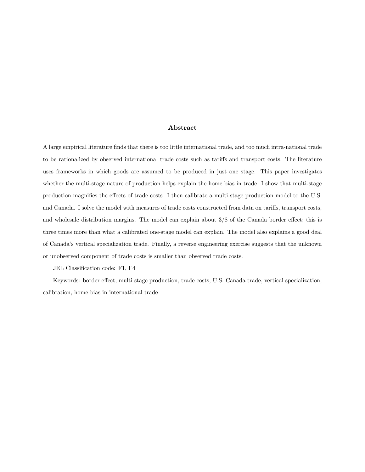#### Abstract

A large empirical literature finds that there is too little international trade, and too much intra-national trade to be rationalized by observed international trade costs such as tariffs and transport costs. The literature uses frameworks in which goods are assumed to be produced in just one stage. This paper investigates whether the multi-stage nature of production helps explain the home bias in trade. I show that multi-stage production magnifies the effects of trade costs. I then calibrate a multi-stage production model to the U.S. and Canada. I solve the model with measures of trade costs constructed from data on tariffs, transport costs, and wholesale distribution margins. The model can explain about 3/8 of the Canada border effect; this is three times more than what a calibrated one-stage model can explain. The model also explains a good deal of Canada's vertical specialization trade. Finally, a reverse engineering exercise suggests that the unknown or unobserved component of trade costs is smaller than observed trade costs.

JEL Classification code: F1, F4

Keywords: border effect, multi-stage production, trade costs, U.S.-Canada trade, vertical specialization, calibration, home bias in international trade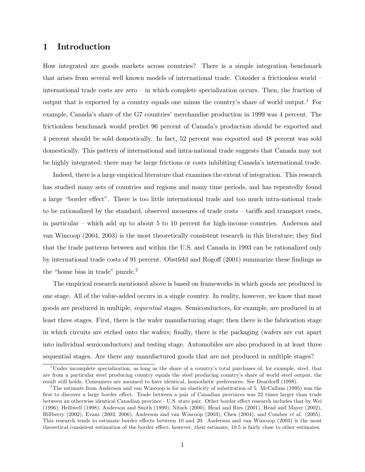# 1 Introduction

How integrated are goods markets across countries? There is a simple integration benchmark that arises from several well known models of international trade. Consider a frictionless world international trade costs are zero — in which complete specialization occurs. Then, the fraction of output that is exported by a country equals one minus the country's share of world output.<sup>1</sup> For example, Canada's share of the G7 countries' merchandise production in 1999 was 4 percent. The frictionless benchmark would predict 96 percent of Canada's production should be exported and 4 percent should be sold domestically. In fact, 52 percent was exported and 48 percent was sold domestically. This pattern of international and intra-national trade suggests that Canada may not be highly integrated; there may be large frictions or costs inhibiting Canada's international trade.

Indeed, there is a large empirical literature that examines the extent of integration. This research has studied many sets of countries and regions and many time periods, and has repeatedly found a large "border effect". There is too little international trade and too much intra-national trade to be rationalized by the standard, observed measures of trade costs — tariffs and transport costs, in particular — which add up to about 5 to 10 percent for high-income countries. Anderson and van Wincoop (2004, 2003) is the most theoretically consistent research in this literature; they find that the trade patterns between and within the U.S. and Canada in 1993 can be rationalized only by international trade costs of 91 percent. Obstfeld and Rogoff (2001) summarize these findings as the "home bias in trade" puzzle.2

The empirical research mentioned above is based on frameworks in which goods are produced in one stage. All of the value-added occurs in a single country. In reality, however, we know that most goods are produced in multiple, sequential stages. Semiconductors, for example, are produced in at least three stages. First, there is the wafer manufacturing stage; then there is the fabrication stage in which circuits are etched onto the wafers; finally, there is the packaging (wafers are cut apart into individual semiconductors) and testing stage. Automobiles are also produced in at least three sequential stages. Are there any manufactured goods that are not produced in multiple stages?

 $1<sup>1</sup>$ Under incomplete specialization, as long as the share of a country's total purchases of, for example, steel, that are from a particular steel producing country equals the steel producing country's share of world steel output, the result still holds. Consumers are assumed to have identical, homothetic preferences. See Deardorff (1998).

<sup>&</sup>lt;sup>2</sup>The estimate from Anderson and van Wincoop is for an elasticity of substitution of 5. McCallum (1995) was the first to discover a large border effect. Trade between a pair of Canadian provinces was 22 times larger than trade between an otherwise identical Canadian province - U.S. state pair. Other border effect research includes that by Wei (1996), Helliwell (1998), Anderson and Smith (1999), Nitsch (2000), Head and Ries (2001), Head and Mayer (2002), Hillberry (2002), Evans (2003, 2006), Anderson and van Wincoop (2003), Chen (2004), and Combes et al. (2005). This research tends to estimate border effects between 10 and 20. Anderson and van Wincoop (2003) is the most theoretical consistent estimation of the border effect; however, their estimate, 10.5 is fairly close to other estimates.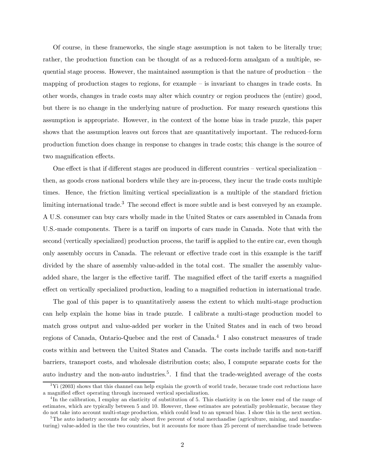Of course, in these frameworks, the single stage assumption is not taken to be literally true; rather, the production function can be thought of as a reduced-form amalgam of a multiple, sequential stage process. However, the maintained assumption is that the nature of production  $-$  the mapping of production stages to regions, for example — is invariant to changes in trade costs. In other words, changes in trade costs may alter which country or region produces the (entire) good, but there is no change in the underlying nature of production. For many research questions this assumption is appropriate. However, in the context of the home bias in trade puzzle, this paper shows that the assumption leaves out forces that are quantitatively important. The reduced-form production function does change in response to changes in trade costs; this change is the source of two magnification effects.

One effect is that if different stages are produced in different countries — vertical specialization then, as goods cross national borders while they are in-process, they incur the trade costs multiple times. Hence, the friction limiting vertical specialization is a multiple of the standard friction limiting international trade.<sup>3</sup> The second effect is more subtle and is best conveyed by an example. A U.S. consumer can buy cars wholly made in the United States or cars assembled in Canada from U.S.-made components. There is a tariff on imports of cars made in Canada. Note that with the second (vertically specialized) production process, the tariff is applied to the entire car, even though only assembly occurs in Canada. The relevant or effective trade cost in this example is the tariff divided by the share of assembly value-added in the total cost. The smaller the assembly valueadded share, the larger is the effective tariff. The magnified effect of the tariff exerts a magnified effect on vertically specialized production, leading to a magnified reduction in international trade.

The goal of this paper is to quantitatively assess the extent to which multi-stage production can help explain the home bias in trade puzzle. I calibrate a multi-stage production model to match gross output and value-added per worker in the United States and in each of two broad regions of Canada, Ontario-Quebec and the rest of Canada.<sup>4</sup> I also construct measures of trade costs within and between the United States and Canada. The costs include tariffs and non-tariff barriers, transport costs, and wholesale distribution costs; also, I compute separate costs for the auto industry and the non-auto industries.<sup>5</sup>. I find that the trade-weighted average of the costs

<sup>&</sup>lt;sup>3</sup>Yi (2003) shows that this channel can help explain the growth of world trade, because trade cost reductions have a magnified effect operating through increased vertical specialization.

<sup>&</sup>lt;sup>4</sup>In the calibration, I employ an elasticity of substitution of 5. This elasticity is on the lower end of the range of estimates, which are typically between 5 and 10. However, these estimates are potentially problematic, because they do not take into account multi-stage production, which could lead to an upward bias. I show this in the next section.

<sup>&</sup>lt;sup>5</sup>The auto industry accounts for only about five percent of total merchandise (agriculture, mining, and manufacturing) value-added in the the two countries, but it accounts for more than 25 percent of merchandise trade between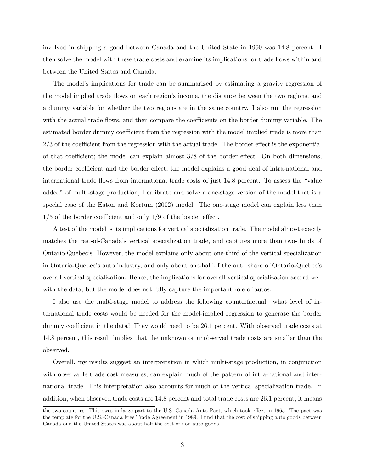involved in shipping a good between Canada and the United State in 1990 was 14.8 percent. I then solve the model with these trade costs and examine its implications for trade flows within and between the United States and Canada.

The model's implications for trade can be summarized by estimating a gravity regression of the model implied trade flows on each region's income, the distance between the two regions, and a dummy variable for whether the two regions are in the same country. I also run the regression with the actual trade flows, and then compare the coefficients on the border dummy variable. The estimated border dummy coefficient from the regression with the model implied trade is more than 2/3 of the coefficient from the regression with the actual trade. The border effect is the exponential of that coefficient; the model can explain almost 3/8 of the border effect. On both dimensions, the border coefficient and the border effect, the model explains a good deal of intra-national and international trade flows from international trade costs of just 14.8 percent. To assess the "value added" of multi-stage production, I calibrate and solve a one-stage version of the model that is a special case of the Eaton and Kortum (2002) model. The one-stage model can explain less than 1/3 of the border coefficient and only 1/9 of the border effect.

A test of the model is its implications for vertical specialization trade. The model almost exactly matches the rest-of-Canada's vertical specialization trade, and captures more than two-thirds of Ontario-Quebec's. However, the model explains only about one-third of the vertical specialization in Ontario-Quebec's auto industry, and only about one-half of the auto share of Ontario-Quebec's overall vertical specialization. Hence, the implications for overall vertical specialization accord well with the data, but the model does not fully capture the important role of autos.

I also use the multi-stage model to address the following counterfactual: what level of international trade costs would be needed for the model-implied regression to generate the border dummy coefficient in the data? They would need to be 26.1 percent. With observed trade costs at 14.8 percent, this result implies that the unknown or unobserved trade costs are smaller than the observed.

Overall, my results suggest an interpretation in which multi-stage production, in conjunction with observable trade cost measures, can explain much of the pattern of intra-national and international trade. This interpretation also accounts for much of the vertical specialization trade. In addition, when observed trade costs are 14.8 percent and total trade costs are 26.1 percent, it means

the two countries. This owes in large part to the U.S.-Canada Auto Pact, which took effect in 1965. The pact was the template for the U.S.-Canada Free Trade Agreement in 1989. I find that the cost of shipping auto goods between Canada and the United States was about half the cost of non-auto goods.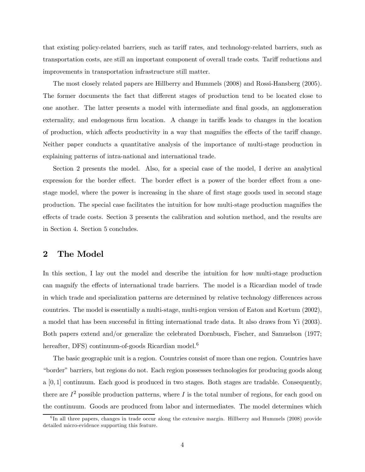that existing policy-related barriers, such as tariff rates, and technology-related barriers, such as transportation costs, are still an important component of overall trade costs. Tariff reductions and improvements in transportation infrastructure still matter.

The most closely related papers are Hillberry and Hummels (2008) and Rossi-Hansberg (2005). The former documents the fact that different stages of production tend to be located close to one another. The latter presents a model with intermediate and final goods, an agglomeration externality, and endogenous firm location. A change in tariffs leads to changes in the location of production, which affects productivity in a way that magnifies the effects of the tariff change. Neither paper conducts a quantitative analysis of the importance of multi-stage production in explaining patterns of intra-national and international trade.

Section 2 presents the model. Also, for a special case of the model, I derive an analytical expression for the border effect. The border effect is a power of the border effect from a onestage model, where the power is increasing in the share of first stage goods used in second stage production. The special case facilitates the intuition for how multi-stage production magnifies the effects of trade costs. Section 3 presents the calibration and solution method, and the results are in Section 4. Section 5 concludes.

# 2 The Model

In this section, I lay out the model and describe the intuition for how multi-stage production can magnify the effects of international trade barriers. The model is a Ricardian model of trade in which trade and specialization patterns are determined by relative technology differences across countries. The model is essentially a multi-stage, multi-region version of Eaton and Kortum (2002), a model that has been successful in fitting international trade data. It also draws from Yi (2003). Both papers extend and/or generalize the celebrated Dornbusch, Fischer, and Samuelson (1977; hereafter, DFS) continuum-of-goods Ricardian model.<sup>6</sup>

The basic geographic unit is a region. Countries consist of more than one region. Countries have "border" barriers, but regions do not. Each region possesses technologies for producing goods along a [0, 1] continuum. Each good is produced in two stages. Both stages are tradable. Consequently, there are  $I^2$  possible production patterns, where I is the total number of regions, for each good on the continuum. Goods are produced from labor and intermediates. The model determines which

 ${}^{6}$ In all three papers, changes in trade occur along the extensive margin. Hillberry and Hummels (2008) provide detailed micro-evidence supporting this feature.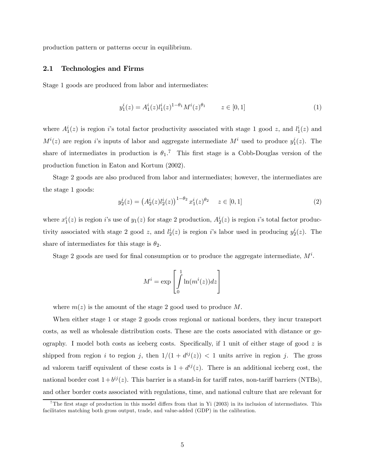production pattern or patterns occur in equilibrium.

## 2.1 Technologies and Firms

Stage 1 goods are produced from labor and intermediates:

$$
y_1^i(z) = A_1^i(z)l_1^i(z)^{1-\theta_1}M^i(z)^{\theta_1} \qquad z \in [0,1]
$$
 (1)

where  $A_1^i(z)$  is region is total factor productivity associated with stage 1 good z, and  $l_1^i(z)$  and  $M^{i}(z)$  are region i's inputs of labor and aggregate intermediate  $M^{i}$  used to produce  $y_{1}^{i}(z)$ . The share of intermediates in production is  $\theta_1$ .<sup>7</sup> This first stage is a Cobb-Douglas version of the production function in Eaton and Kortum (2002).

Stage 2 goods are also produced from labor and intermediates; however, the intermediates are the stage 1 goods:

$$
y_2^i(z) = \left(A_2^i(z)l_2^i(z)\right)^{1-\theta_2} x_1^i(z)^{\theta_2} \quad z \in [0,1]
$$
 (2)

where  $x_1^i(z)$  is region i's use of  $y_1(z)$  for stage 2 production,  $A_2^i(z)$  is region i's total factor productivity associated with stage 2 good z, and  $l_2^i(z)$  is region is labor used in producing  $y_2^i(z)$ . The share of intermediates for this stage is  $\theta_2$ .

Stage 2 goods are used for final consumption or to produce the aggregate intermediate,  $M^i$ .

$$
M^i = \exp \left[ \int\limits_0^1 \ln(m^i(z))dz \right]
$$

where  $m(z)$  is the amount of the stage 2 good used to produce M.

When either stage 1 or stage 2 goods cross regional or national borders, they incur transport costs, as well as wholesale distribution costs. These are the costs associated with distance or geography. I model both costs as iceberg costs. Specifically, if 1 unit of either stage of good  $z$  is shipped from region i to region j, then  $1/(1 + d^{ij}(z)) < 1$  units arrive in region j. The gross ad valorem tariff equivalent of these costs is  $1 + d^{ij}(z)$ . There is an additional iceberg cost, the national border cost  $1+b^{ij}(z)$ . This barrier is a stand-in for tariff rates, non-tariff barriers (NTBs), and other border costs associated with regulations, time, and national culture that are relevant for

<sup>&</sup>lt;sup>7</sup>The first stage of production in this model differs from that in Yi (2003) in its inclusion of intermediates. This facilitates matching both gross output, trade, and value-added (GDP) in the calibration.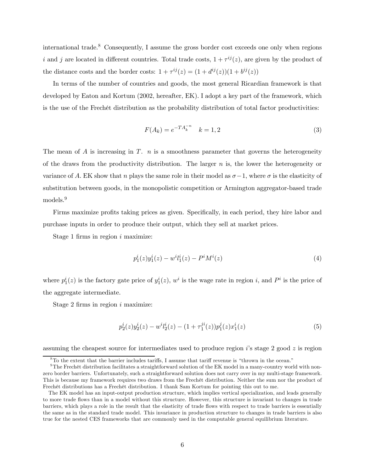international trade.<sup>8</sup> Consequently, I assume the gross border cost exceeds one only when regions i and j are located in different countries. Total trade costs,  $1 + \tau^{ij}(z)$ , are given by the product of the distance costs and the border costs:  $1 + \tau^{ij}(z) = (1 + d^{ij}(z))(1 + b^{ij}(z))$ 

In terms of the number of countries and goods, the most general Ricardian framework is that developed by Eaton and Kortum (2002, hereafter, EK). I adopt a key part of the framework, which is the use of the Frechét distribution as the probability distribution of total factor productivities:

$$
F(A_k) = e^{-TA_k^{-n}} \quad k = 1,2
$$
\n(3)

The mean of A is increasing in T. n is a smoothness parameter that governs the heterogeneity of the draws from the productivity distribution. The larger  $n$  is, the lower the heterogeneity or variance of A. EK show that n plays the same role in their model as  $\sigma-1$ , where  $\sigma$  is the elasticity of substitution between goods, in the monopolistic competition or Armington aggregator-based trade models.<sup>9</sup>

Firms maximize profits taking prices as given. Specifically, in each period, they hire labor and purchase inputs in order to produce their output, which they sell at market prices.

Stage 1 firms in region  $i$  maximize:

$$
p_1^i(z)y_1^i(z) - w^i l_1^i(z) - P^i M^i(z)
$$
\n(4)

where  $p_1^i(z)$  is the factory gate price of  $y_1^i(z)$ ,  $w^i$  is the wage rate in region i, and  $P^i$  is the price of the aggregate intermediate.

Stage 2 firms in region  $i$  maximize:

$$
p_2^i(z)y_2^i(z) - w^i l_2^i(z) - (1 + \tau_1^{ji}(z))p_1^j(z)x_1^i(z)
$$
\n
$$
\tag{5}
$$

assuming the cheapest source for intermediates used to produce region  $i$ 's stage 2 good  $z$  is region

<sup>8</sup>To the extent that the barrier includes tariffs, I assume that tariff revenue is "thrown in the ocean."

<sup>&</sup>lt;sup>9</sup>The Frechét distribution facilitates a straightforward solution of the EK model in a many-country world with nonzero border barriers. Unfortunately, such a straightforward solution does not carry over in my multi-stage framework. This is because my framework requires two draws from the Frechét distribution. Neither the sum nor the product of Frechét distributions has a Frechét distribution. I thank Sam Kortum for pointing this out to me.

The EK model has an input-output production structure, which implies vertical specialization, and leads generally to more trade flows than in a model without this structure. However, this structure is invariant to changes in trade barriers, which plays a role in the result that the elasticity of trade flows with respect to trade barriers is essentially the same as in the standard trade model. This invariance in production structure to changes in trade barriers is also true for the nested CES frameworks that are commonly used in the computable general equilibrium literature.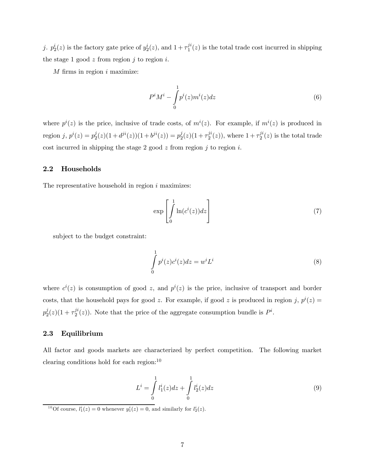j.  $p_2^i(z)$  is the factory gate price of  $y_2^i(z)$ , and  $1 + \tau_1^{ji}(z)$  is the total trade cost incurred in shipping the stage 1 good  $z$  from region  $j$  to region  $i$ .

 $M$  firms in region  $i$  maximize:

$$
P^i M^i - \int_0^1 p^i(z) m^i(z) dz \tag{6}
$$

where  $p^{i}(z)$  is the price, inclusive of trade costs, of  $m^{i}(z)$ . For example, if  $m^{i}(z)$  is produced in  $\text{region } j, p^i(z) = p_2^j(z)(1 + d^{ji}(z))(1 + b^{ji}(z)) = p_2^j(z)(1 + \tau_2^{ji}(z)), \text{ where } 1 + \tau_2^{ji}(z) \text{ is the total trade}$ cost incurred in shipping the stage 2 good  $z$  from region  $j$  to region  $i$ .

## 2.2 Households

The representative household in region  $i$  maximizes:

$$
\exp\left[\int_{0}^{1}\ln(c^{i}(z))dz\right]
$$
\n(7)

subject to the budget constraint:

$$
\int_{0}^{1} p^{i}(z)c^{i}(z)dz = w^{i}L^{i}
$$
\n(8)

where  $c^{i}(z)$  is consumption of good z, and  $p^{i}(z)$  is the price, inclusive of transport and border costs, that the household pays for good z. For example, if good z is produced in region j,  $p^{i}(z)$  =  $p_2^j(z)(1+\tau_2^{ji}(z))$ . Note that the price of the aggregate consumption bundle is  $P^i$ .

## 2.3 Equilibrium

All factor and goods markets are characterized by perfect competition. The following market clearing conditions hold for each region: $10$ 

$$
L^{i} = \int_{0}^{1} l_{1}^{i}(z)dz + \int_{0}^{1} l_{2}^{i}(z)dz
$$
\n(9)

<sup>&</sup>lt;sup>10</sup>Of course,  $l_1^i(z) = 0$  whenever  $y_1^i(z) = 0$ , and similarly for  $l_2^i(z)$ .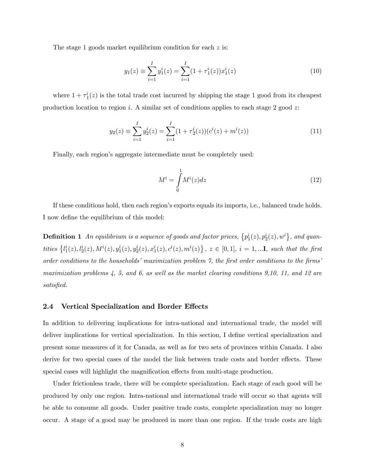The stage 1 goods market equilibrium condition for each z is:

$$
y_1(z) \equiv \sum_{i=1}^{I} y_1^i(z) = \sum_{i=1}^{I} (1 + \tau_1^i(z)) x_1^i(z)
$$
 (10)

where  $1 + \tau_1^i(z)$  is the total trade cost incurred by shipping the stage 1 good from its cheapest production location to region i. A similar set of conditions applies to each stage 2 good  $z$ :

$$
y_2(z) \equiv \sum_{i=1}^{I} y_2^i(z) = \sum_{i=1}^{I} (1 + \tau_2^i(z)) (c^i(z) + m^i(z))
$$
\n(11)

Finally, each region's aggregate intermediate must be completely used:

$$
M^i = \int_0^1 M^i(z)dz\tag{12}
$$

If these conditions hold, then each region's exports equals its imports, i.e., balanced trade holds. I now define the equilibrium of this model:

**Definition 1** An equilibrium is a sequence of goods and factor prices,  $\{p_1^i(z), p_2^i(z), w^i\}$ , and quantities  $\{l_1^i(z), l_2^i(z), M^i(z), y_1^i(z), y_2^i(z), x_1^i(z), c^i(z), m^i(z)\}, z \in [0, 1], i = 1, ...$ **I**, such that the first order conditions to the households' maximization problem 7, the first order conditions to the firms' maximization problems 4, 5, and 6, as well as the market clearing conditions 9,10, 11, and 12 are satisfied.

#### 2.4 Vertical Specialization and Border Effects

In addition to delivering implications for intra-national and international trade, the model will deliver implications for vertical specialization. In this section, I define vertical specialization and present some measures of it for Canada, as well as for two sets of provinces within Canada. I also derive for two special cases of the model the link between trade costs and border effects. These special cases will highlight the magnification effects from multi-stage production.

Under frictionless trade, there will be complete specialization. Each stage of each good will be produced by only one region. Intra-national and international trade will occur so that agents will be able to consume all goods. Under positive trade costs, complete specialization may no longer occur. A stage of a good may be produced in more than one region. If the trade costs are high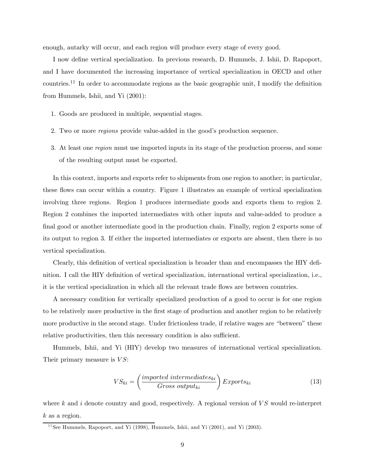enough, autarky will occur, and each region will produce every stage of every good.

I now define vertical specialization. In previous research, D. Hummels, J. Ishii, D. Rapoport, and I have documented the increasing importance of vertical specialization in OECD and other countries.<sup>11</sup> In order to accommodate regions as the basic geographic unit, I modify the definition from Hummels, Ishii, and Yi (2001):

- 1. Goods are produced in multiple, sequential stages.
- 2. Two or more regions provide value-added in the good's production sequence.
- 3. At least one region must use imported inputs in its stage of the production process, and some of the resulting output must be exported.

In this context, imports and exports refer to shipments from one region to another; in particular, these flows can occur within a country. Figure 1 illustrates an example of vertical specialization involving three regions. Region 1 produces intermediate goods and exports them to region 2. Region 2 combines the imported intermediates with other inputs and value-added to produce a final good or another intermediate good in the production chain. Finally, region 2 exports some of its output to region 3. If either the imported intermediates or exports are absent, then there is no vertical specialization.

Clearly, this definition of vertical specialization is broader than and encompasses the HIY definition. I call the HIY definition of vertical specialization, international vertical specialization, i.e., it is the vertical specialization in which all the relevant trade flows are between countries.

A necessary condition for vertically specialized production of a good to occur is for one region to be relatively more productive in the first stage of production and another region to be relatively more productive in the second stage. Under frictionless trade, if relative wages are "between" these relative productivities, then this necessary condition is also sufficient.

Hummels, Ishii, and Yi (HIY) develop two measures of international vertical specialization. Their primary measure is  $VS$ :

$$
VS_{ki} = \left(\frac{imported\ intermediate_{ki}}{Gross\ output_{ki}}\right) Exports_{ki} \tag{13}
$$

where k and i denote country and good, respectively. A regional version of  $VS$  would re-interpret  $k$  as a region.

 $11$  See Hummels, Rapoport, and Yi (1998), Hummels, Ishii, and Yi (2001), and Yi (2003).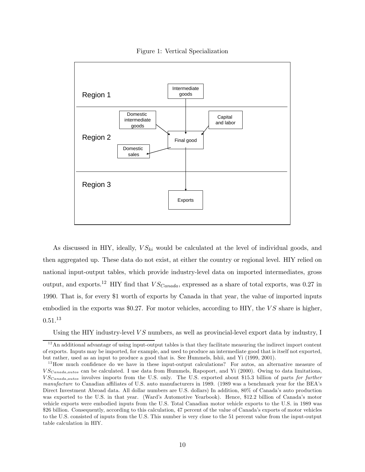

Figure 1: Vertical Specialization

As discussed in HIY, ideally,  $VS_{ki}$  would be calculated at the level of individual goods, and then aggregated up. These data do not exist, at either the country or regional level. HIY relied on national input-output tables, which provide industry-level data on imported intermediates, gross output, and exports.<sup>12</sup> HIY find that  $VS_{Canada}$ , expressed as a share of total exports, was 0.27 in 1990. That is, for every \$1 worth of exports by Canada in that year, the value of imported inputs embodied in the exports was \$0.27. For motor vehicles, according to HIY, the  $VS$  share is higher,  $0.51^{13}$ 

Using the HIY industry-level  $VS$  numbers, as well as provincial-level export data by industry, I

 $12$ An additional advantage of using input-output tables is that they facilitate measuring the indirect import content of exports. Inputs may be imported, for example, and used to produce an intermediate good that is itself not exported, but rather, used as an input to produce a good that is. See Hummels, Ishii, and Yi (1999, 2001).

 $13$  How much confidence do we have in these input-output calculations? For autos, an alternative measure of  $VS_{Canada,auto}$  can be calculated. I use data from Hummels, Rapoport, and Yi (2000). Owing to data limitations,  $VS_{Canada, autos}$  involves imports from the U.S. only. The U.S. exported about \$15.3 billion of parts for further manufacture to Canadian affiliates of U.S. auto manufacturers in 1989. (1989 was a benchmark year for the BEA's Direct Investment Abroad data. All dollar numbers are U.S. dollars) In addition, 80% of Canada's auto production was exported to the U.S. in that year. (Ward's Automotive Yearbook). Hence, \$12.2 billion of Canada's motor vehicle exports were embodied inputs from the U.S. Total Canadian motor vehicle exports to the U.S. in 1989 was \$26 billion. Consequently, according to this calculation, 47 percent of the value of Canada's exports of motor vehicles to the U.S. consisted of inputs from the U.S. This number is very close to the 51 percent value from the input-output table calculation in HIY.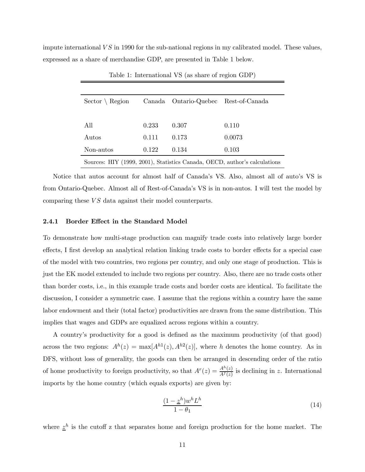impute international  $VS$  in 1990 for the sub-national regions in my calibrated model. These values, expressed as a share of merchandise GDP, are presented in Table 1 below.

| Sector $\setminus$ Region                                                 |       | Canada Ontario-Quebec Rest-of-Canada |        |  |
|---------------------------------------------------------------------------|-------|--------------------------------------|--------|--|
|                                                                           |       |                                      |        |  |
| All                                                                       | 0.233 | 0.307                                | 0.110  |  |
| Autos                                                                     | 0.111 | 0.173                                | 0.0073 |  |
| Non-autos                                                                 | 0.122 | 0.134                                | 0.103  |  |
| Sources: HIY (1999, 2001), Statistics Canada, OECD, author's calculations |       |                                      |        |  |

Table 1: International VS (as share of region GDP)

Notice that autos account for almost half of Canada's VS. Also, almost all of auto's VS is from Ontario-Quebec. Almost all of Rest-of-Canada's VS is in non-autos. I will test the model by comparing these  $VS$  data against their model counterparts.

#### 2.4.1 Border Effect in the Standard Model

To demonstrate how multi-stage production can magnify trade costs into relatively large border effects, I first develop an analytical relation linking trade costs to border effects for a special case of the model with two countries, two regions per country, and only one stage of production. This is just the EK model extended to include two regions per country. Also, there are no trade costs other than border costs, i.e., in this example trade costs and border costs are identical. To facilitate the discussion, I consider a symmetric case. I assume that the regions within a country have the same labor endowment and their (total factor) productivities are drawn from the same distribution. This implies that wages and GDPs are equalized across regions within a country.

A country's productivity for a good is defined as the maximum productivity (of that good) across the two regions:  $A^{h}(z) = \max[A^{h}(z), A^{h}(z)],$  where h denotes the home country. As in DFS, without loss of generality, the goods can then be arranged in descending order of the ratio of home productivity to foreign productivity, so that  $A^r(z) = \frac{A^h(z)}{A^f(z)}$  is declining in z. International imports by the home country (which equals exports) are given by:

$$
\frac{(1-z^h)w^hL^h}{1-\theta_1} \tag{14}
$$

where  $\underline{z}^h$  is the cutoff z that separates home and foreign production for the home market. The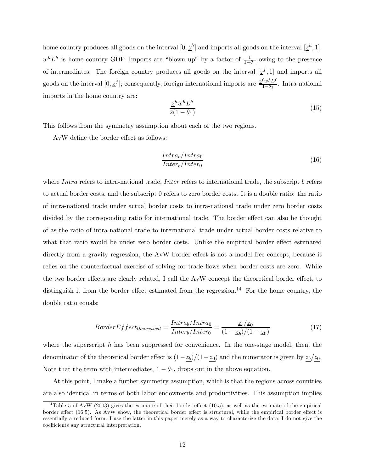home country produces all goods on the interval  $[0, \underline{z}^h]$  and imports all goods on the interval  $[\underline{z}^h, 1]$ .  $w^h L^h$  is home country GDP. Imports are "blown up" by a factor of  $\frac{1}{1-\theta_1}$  owing to the presence of intermediates. The foreign country produces all goods on the interval  $[\underline{z}^f, 1]$  and imports all goods on the interval  $[0, \underline{z}^f]$ ; consequently, foreign international imports are  $\frac{\underline{z}^f w^f L^f}{1-\theta_1}$ . Intra-national imports in the home country are:

$$
\frac{z^h w^h L^h}{2(1 - \theta_1)}\tag{15}
$$

This follows from the symmetry assumption about each of the two regions.

AvW define the border effect as follows:

$$
\frac{Intra_b/Intra_0}{Inter_b/Inter_0} \tag{16}
$$

where Intra refers to intra-national trade, Inter refers to international trade, the subscript b refers to actual border costs, and the subscript 0 refers to zero border costs. It is a double ratio: the ratio of intra-national trade under actual border costs to intra-national trade under zero border costs divided by the corresponding ratio for international trade. The border effect can also be thought of as the ratio of intra-national trade to international trade under actual border costs relative to what that ratio would be under zero border costs. Unlike the empirical border effect estimated directly from a gravity regression, the AvW border effect is not a model-free concept, because it relies on the counterfactual exercise of solving for trade flows when border costs are zero. While the two border effects are clearly related, I call the AvW concept the theoretical border effect, to distinguish it from the border effect estimated from the regression.<sup>14</sup> For the home country, the double ratio equals:

$$
BorderEffect_{theoretical} = \frac{Intra_b/Intra_0}{Inter_b/Inter_0} = \frac{z_b/z_0}{(1-z_b)/(1-z_0)}
$$
(17)

where the superscript  $h$  has been suppressed for convenience. In the one-stage model, then, the denominator of the theoretical border effect is  $(1-\underline{z_b})/(1-\underline{z_0})$  and the numerator is given by  $\underline{z_b}/\underline{z_0}$ . Note that the term with intermediates,  $1 - \theta_1$ , drops out in the above equation.

At this point, I make a further symmetry assumption, which is that the regions across countries are also identical in terms of both labor endowments and productivities. This assumption implies

<sup>&</sup>lt;sup>14</sup>Table 5 of AvW (2003) gives the estimate of their border effect (10.5), as well as the estimate of the empirical border effect (16.5). As AvW show, the theoretical border effect is structural, while the empirical border effect is essentially a reduced form. I use the latter in this paper merely as a way to characterize the data; I do not give the coefficients any structural interpretation.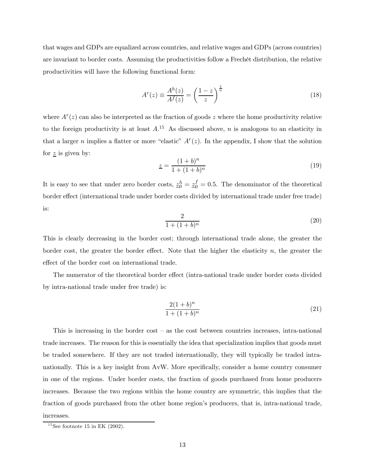that wages and GDPs are equalized across countries, and relative wages and GDPs (across countries) are invariant to border costs. Assuming the productivities follow a Frechét distribution, the relative productivities will have the following functional form:

$$
Ar(z) \equiv \frac{Ah(z)}{Af(z)} = \left(\frac{1-z}{z}\right)^{\frac{1}{n}}
$$
\n(18)

where  $A^{r}(z)$  can also be interpreted as the fraction of goods z where the home productivity relative to the foreign productivity is at least  $A^{15}$ . As discussed above, n is analogous to an elasticity in that a larger n implies a flatter or more "elastic"  $A<sup>r</sup>(z)$ . In the appendix, I show that the solution for  $\underline{z}$  is given by:

$$
\underline{z} = \frac{(1+b)^n}{1+(1+b)^n} \tag{19}
$$

It is easy to see that under zero border costs,  $\underline{z}_0^h = \underline{z}_0^f = 0.5$ . The denominator of the theoretical border effect (international trade under border costs divided by international trade under free trade) is:

$$
\frac{2}{1 + (1 + b)^n} \tag{20}
$$

This is clearly decreasing in the border cost; through international trade alone, the greater the border cost, the greater the border effect. Note that the higher the elasticity  $n$ , the greater the effect of the border cost on international trade.

The numerator of the theoretical border effect (intra-national trade under border costs divided by intra-national trade under free trade) is:

$$
\frac{2(1+b)^n}{1+(1+b)^n} \tag{21}
$$

This is increasing in the border  $\cos t - \text{as the cost between countries increases, intra-national}$ trade increases. The reason for this is essentially the idea that specialization implies that goods must be traded somewhere. If they are not traded internationally, they will typically be traded intranationally. This is a key insight from AvW. More specifically, consider a home country consumer in one of the regions. Under border costs, the fraction of goods purchased from home producers increases. Because the two regions within the home country are symmetric, this implies that the fraction of goods purchased from the other home region's producers, that is, intra-national trade, increases.

 $15$  See footnote 15 in EK (2002).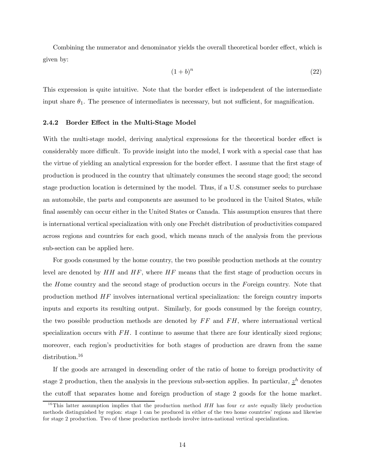Combining the numerator and denominator yields the overall theoretical border effect, which is given by:

$$
(1+b)^n \tag{22}
$$

This expression is quite intuitive. Note that the border effect is independent of the intermediate input share  $\theta_1$ . The presence of intermediates is necessary, but not sufficient, for magnification.

#### 2.4.2 Border Effect in the Multi-Stage Model

With the multi-stage model, deriving analytical expressions for the theoretical border effect is considerably more difficult. To provide insight into the model, I work with a special case that has the virtue of yielding an analytical expression for the border effect. I assume that the first stage of production is produced in the country that ultimately consumes the second stage good; the second stage production location is determined by the model. Thus, if a U.S. consumer seeks to purchase an automobile, the parts and components are assumed to be produced in the United States, while final assembly can occur either in the United States or Canada. This assumption ensures that there is international vertical specialization with only one Frechét distribution of productivities compared across regions and countries for each good, which means much of the analysis from the previous sub-section can be applied here.

For goods consumed by the home country, the two possible production methods at the country level are denoted by  $HH$  and  $HF$ , where  $HF$  means that the first stage of production occurs in the Home country and the second stage of production occurs in the Foreign country. Note that production method HF involves international vertical specialization: the foreign country imports inputs and exports its resulting output. Similarly, for goods consumed by the foreign country, the two possible production methods are denoted by  $FF$  and  $FH$ , where international vertical specialization occurs with  $FH$ . I continue to assume that there are four identically sized regions; moreover, each region's productivities for both stages of production are drawn from the same distribution.<sup>16</sup>

If the goods are arranged in descending order of the ratio of home to foreign productivity of stage 2 production, then the analysis in the previous sub-section applies. In particular,  $\underline{z}^h$  denotes the cutoff that separates home and foreign production of stage 2 goods for the home market.

<sup>&</sup>lt;sup>16</sup>This latter assumption implies that the production method  $HH$  has four ex ante equally likely production methods distinguished by region: stage 1 can be produced in either of the two home countries' regions and likewise for stage 2 production. Two of these production methods involve intra-national vertical specialization.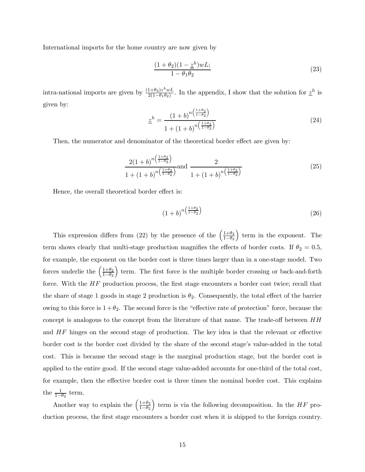International imports for the home country are now given by

$$
\frac{(1+\theta_2)(1-\underline{z}^h)wL}{1-\theta_1\theta_2}.
$$
\n
$$
(23)
$$

intra-national imports are given by  $\frac{(1+\theta_2)z^h wL}{2(1-\theta_1\theta_2)}$ . In the appendix, I show that the solution for  $\underline{z}^h$  is given by:

$$
\underline{z}^{h} = \frac{\left(1+b\right)^{n\left(\frac{1+\theta_{2}}{1-\theta_{2}}\right)}}{1+\left(1+b\right)^{n\left(\frac{1+\theta_{2}}{1-\theta_{2}}\right)}}\tag{24}
$$

Then, the numerator and denominator of the theoretical border effect are given by:

$$
\frac{2(1+b)^{n\left(\frac{1+\theta_{2}}{1-\theta_{2}}\right)}}{1+\left(1+b\right)^{n\left(\frac{1+\theta_{2}}{1-\theta_{2}}\right)}}\text{and}\frac{2}{1+\left(1+b\right)^{n\left(\frac{1+\theta_{2}}{1-\theta_{2}}\right)}}\tag{25}
$$

Hence, the overall theoretical border effect is:

$$
(1+b)^{n\left(\frac{1+\theta_2}{1-\theta_2}\right)}\tag{26}
$$

This expression differs from (22) by the presence of the  $\left(\frac{1+\theta_2}{1-\theta_2}\right)$ ) term in the exponent. The term shows clearly that multi-stage production magnifies the effects of border costs. If  $\theta_2 = 0.5$ , for example, the exponent on the border cost is three times larger than in a one-stage model. Two forces underlie the  $\left(\frac{1+\theta_2}{1-\theta_2}\right)$ ) term. The first force is the multiple border crossing or back-and-forth force. With the HF production process, the first stage encounters a border cost twice; recall that the share of stage 1 goods in stage 2 production is  $\theta_2$ . Consequently, the total effect of the barrier owing to this force is  $1+\theta_2$ . The second force is the "effective rate of protection" force, because the concept is analogous to the concept from the literature of that name. The trade-off between  $HH$ and HF hinges on the second stage of production. The key idea is that the relevant or effective border cost is the border cost divided by the share of the second stage's value-added in the total cost. This is because the second stage is the marginal production stage, but the border cost is applied to the entire good. If the second stage value-added accounts for one-third of the total cost, for example, then the effective border cost is three times the nominal border cost. This explains the  $\frac{1}{1-\theta_2}$  term.

Another way to explain the  $\left(\frac{1+\theta_2}{1-\theta_2}\right)$ ) term is via the following decomposition. In the  $HF$  production process, the first stage encounters a border cost when it is shipped to the foreign country.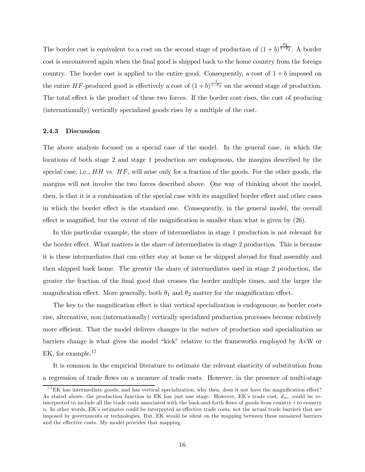The border cost is equivalent to a cost on the second stage of production of  $(1+b)^{\frac{\theta_2}{1-\theta_2}}$ . A border cost is encountered again when the final good is shipped back to the home country from the foreign country. The border cost is applied to the entire good. Consequently, a cost of  $1 + b$  imposed on the entire HF-produced good is effectively a cost of  $(1+b)^{\frac{1}{1-\theta_2}}$  on the second stage of production. The total effect is the product of these two forces. If the border cost rises, the cost of producing (internationally) vertically specialized goods rises by a multiple of the cost.

## 2.4.3 Discussion

The above analysis focused on a special case of the model. In the general case, in which the locations of both stage 2 and stage 1 production are endogenous, the margins described by the special case, i.e.,  $HH$  vs.  $HF$ , will arise only for a fraction of the goods. For the other goods, the margins will not involve the two forces described above. One way of thinking about the model, then, is that it is a combination of the special case with its magnified border effect and other cases in which the border effect is the standard one. Consequently, in the general model, the overall effect is magnified, but the extent of the magnification is smaller than what is given by (26).

In this particular example, the share of intermediates in stage 1 production is not relevant for the border effect. What matters is the share of intermediates in stage 2 production. This is because it is these intermediates that can either stay at home or be shipped abroad for final assembly and then shipped back home. The greater the share of intermediates used in stage 2 production, the greater the fraction of the final good that crosses the border multiple times, and the larger the magnification effect. More generally, both  $\theta_1$  and  $\theta_2$  matter for the magnification effect.

The key to the magnification effect is that vertical specialization is endogenous; as border costs rise, alternative, non (internationally) vertically specialized production processes become relatively more efficient. That the model delivers changes in the *nature* of production and specialization as barriers change is what gives the model "kick" relative to the frameworks employed by AvW or EK, for example.<sup>17</sup>

It is common in the empirical literature to estimate the relevant elasticity of substitution from a regression of trade flows on a measure of trade costs. However, in the presence of multi-stage

 $17$  EK has intermediate goods, and has vertical specialization; why then, does it not have the magnification effect? As stated above, the production function in EK has just one stage. However, EK's trade cost,  $d_{ni}$ , could be reinterpreted to include all the trade costs associated with the back-and-forth flows of goods from country  $i$  to country n. In other words, EK's estimates could be interpreted as effective trade costs, not the actual trade barriers that are imposed by governments or technologies. But, EK would be silent on the mapping between these measured barriers and the effective costs. My model provides that mapping.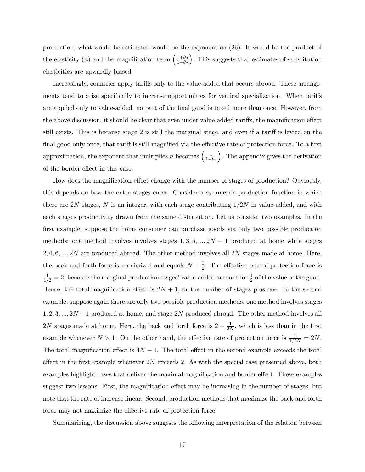production, what would be estimated would be the exponent on (26). It would be the product of the elasticity  $(n)$  and the magnification term  $\left(\frac{1+\theta_2}{1-\theta_2}\right)$ ). This suggests that estimates of substitution elasticities are upwardly biased.

Increasingly, countries apply tariffs only to the value-added that occurs abroad. These arrangements tend to arise specifically to increase opportunities for vertical specialization. When tariffs are applied only to value-added, no part of the final good is taxed more than once. However, from the above discussion, it should be clear that even under value-added tariffs, the magnification effect still exists. This is because stage 2 is still the marginal stage, and even if a tariff is levied on the final good only once, that tariff is still magnified via the effective rate of protection force. To a first approximation, the exponent that multiplies n becomes  $\left(\frac{1}{1-\theta_2}\right)$ ). The appendix gives the derivation of the border effect in this case.

How does the magnification effect change with the number of stages of production? Obviously, this depends on how the extra stages enter. Consider a symmetric production function in which there are  $2N$  stages, N is an integer, with each stage contributing  $1/2N$  in value-added, and with each stage's productivity drawn from the same distribution. Let us consider two examples. In the first example, suppose the home consumer can purchase goods via only two possible production methods; one method involves involves stages  $1, 3, 5, ..., 2N - 1$  produced at home while stages  $2, 4, 6, \ldots, 2N$  are produced abroad. The other method involves all  $2N$  stages made at home. Here, the back and forth force is maximized and equals  $N + \frac{1}{2}$ . The effective rate of protection force is  $\frac{1}{1/2}$  = 2, because the marginal production stages' value-added account for  $\frac{1}{2}$  of the value of the good. Hence, the total magnification effect is  $2N + 1$ , or the number of stages plus one. In the second example, suppose again there are only two possible production methods; one method involves stages  $1, 2, 3, \ldots, 2N-1$  produced at home, and stage 2N produced abroad. The other method involves all 2N stages made at home. Here, the back and forth force is  $2 - \frac{1}{2N}$ , which is less than in the first example whenever  $N > 1$ . On the other hand, the effective rate of protection force is  $\frac{1}{1/2N} = 2N$ . The total magnification effect is  $4N - 1$ . The total effect in the second example exceeds the total effect in the first example whenever  $2N$  exceeds 2. As with the special case presented above, both examples highlight cases that deliver the maximal magnification and border effect. These examples suggest two lessons. First, the magnification effect may be increasing in the number of stages, but note that the rate of increase linear. Second, production methods that maximize the back-and-forth force may not maximize the effective rate of protection force.

Summarizing, the discussion above suggests the following interpretation of the relation between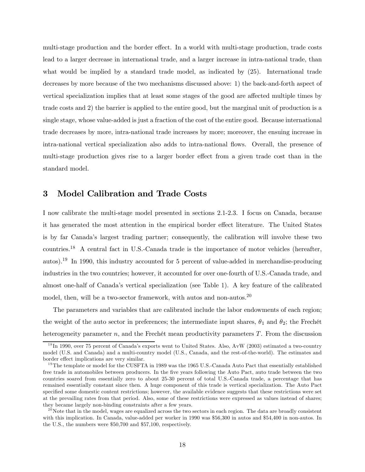multi-stage production and the border effect. In a world with multi-stage production, trade costs lead to a larger decrease in international trade, and a larger increase in intra-national trade, than what would be implied by a standard trade model, as indicated by (25). International trade decreases by more because of the two mechanisms discussed above: 1) the back-and-forth aspect of vertical specialization implies that at least some stages of the good are affected multiple times by trade costs and 2) the barrier is applied to the entire good, but the marginal unit of production is a single stage, whose value-added is just a fraction of the cost of the entire good. Because international trade decreases by more, intra-national trade increases by more; moreover, the ensuing increase in intra-national vertical specialization also adds to intra-national flows. Overall, the presence of multi-stage production gives rise to a larger border effect from a given trade cost than in the standard model.

# 3 Model Calibration and Trade Costs

I now calibrate the multi-stage model presented in sections 2.1-2.3. I focus on Canada, because it has generated the most attention in the empirical border effect literature. The United States is by far Canada's largest trading partner; consequently, the calibration will involve these two countries.<sup>18</sup> A central fact in U.S.-Canada trade is the importance of motor vehicles (hereafter, autos).19 In 1990, this industry accounted for 5 percent of value-added in merchandise-producing industries in the two countries; however, it accounted for over one-fourth of U.S.-Canada trade, and almost one-half of Canada's vertical specialization (see Table 1). A key feature of the calibrated model, then, will be a two-sector framework, with autos and non-autos.<sup>20</sup>

The parameters and variables that are calibrated include the labor endowments of each region; the weight of the auto sector in preferences; the intermediate input shares,  $\theta_1$  and  $\theta_2$ ; the Frechét heterogeneity parameter  $n$ , and the Frechét mean productivity parameters  $T$ . From the discussion

<sup>&</sup>lt;sup>18</sup>In 1990, over 75 percent of Canada's exports went to United States. Also, AvW (2003) estimated a two-country model (U.S. and Canada) and a multi-country model (U.S., Canada, and the rest-of-the-world). The estimates and border effect implications are very similar.

<sup>&</sup>lt;sup>19</sup>The template or model for the CUSFTA in 1989 was the 1965 U.S.-Canada Auto Pact that essentially established free trade in automobiles between producers. In the five years following the Auto Pact, auto trade between the two countries soared from essentially zero to about 25-30 percent of total U.S.-Canada trade, a percentage that has remained essentially constant since then. A huge component of this trade is vertical specialization. The Auto Pact specified some domestic content restrictions; however, the available evidence suggests that these restrictions were set at the prevailing rates from that period. Also, some of these restrictions were expressed as values instead of shares; they became largely non-binding constraints after a few years.

 $^{20}$ Note that in the model, wages are equalized across the two sectors in each region. The data are broadly consistent with this implication. In Canada, value-added per worker in 1990 was \$56,300 in autos and \$54,400 in non-autos. In the U.S., the numbers were \$50,700 and \$57,100, respectively.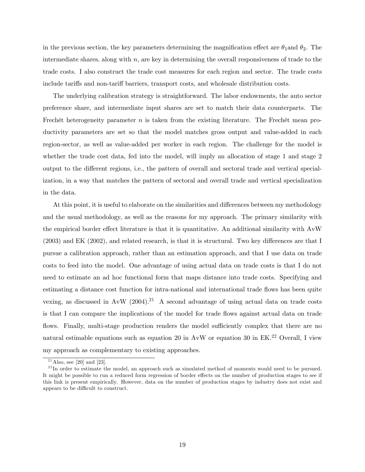in the previous section, the key parameters determining the magnification effect are  $\theta_1$ and  $\theta_2$ . The intermediate shares, along with  $n$ , are key in determining the overall responsiveness of trade to the trade costs. I also construct the trade cost measures for each region and sector. The trade costs include tariffs and non-tariff barriers, transport costs, and wholesale distribution costs.

The underlying calibration strategy is straightforward. The labor endowments, the auto sector preference share, and intermediate input shares are set to match their data counterparts. The Frechét heterogeneity parameter  $n$  is taken from the existing literature. The Frechét mean productivity parameters are set so that the model matches gross output and value-added in each region-sector, as well as value-added per worker in each region. The challenge for the model is whether the trade cost data, fed into the model, will imply an allocation of stage 1 and stage 2 output to the different regions, i.e., the pattern of overall and sectoral trade and vertical specialization, in a way that matches the pattern of sectoral and overall trade and vertical specialization in the data.

At this point, it is useful to elaborate on the similarities and differences between my methodology and the usual methodology, as well as the reasons for my approach. The primary similarity with the empirical border effect literature is that it is quantitative. An additional similarity with AvW (2003) and EK (2002), and related research, is that it is structural. Two key differences are that I pursue a calibration approach, rather than an estimation approach, and that I use data on trade costs to feed into the model. One advantage of using actual data on trade costs is that I do not need to estimate an ad hoc functional form that maps distance into trade costs. Specifying and estimating a distance cost function for intra-national and international trade flows has been quite vexing, as discussed in AvW  $(2004).^{21}$  A second advantage of using actual data on trade costs is that I can compare the implications of the model for trade flows against actual data on trade flows. Finally, multi-stage production renders the model sufficiently complex that there are no natural estimable equations such as equation 20 in AvW or equation 30 in  $EK.^{22}$  Overall, I view my approach as complementary to existing approaches.

<sup>&</sup>lt;sup>21</sup> Also, see [20] and [23].

 $^{22}$ In order to estimate the model, an approach such as simulated method of moments would need to be pursued. It might be possible to run a reduced form regression of border effects on the number of production stages to see if this link is present empirically. However, data on the number of production stages by industry does not exist and appears to be difficult to construct.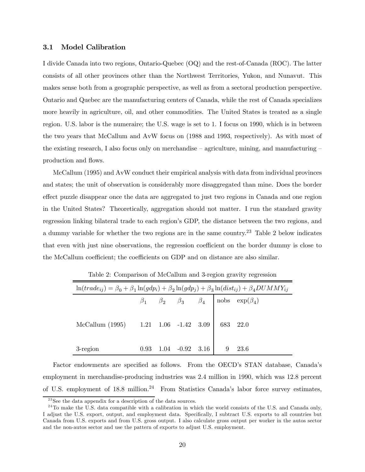## 3.1 Model Calibration

I divide Canada into two regions, Ontario-Quebec (OQ) and the rest-of-Canada (ROC). The latter consists of all other provinces other than the Northwest Territories, Yukon, and Nunavut. This makes sense both from a geographic perspective, as well as from a sectoral production perspective. Ontario and Quebec are the manufacturing centers of Canada, while the rest of Canada specializes more heavily in agriculture, oil, and other commodities. The United States is treated as a single region. U.S. labor is the numeraire; the U.S. wage is set to 1. I focus on 1990, which is in between the two years that McCallum and AvW focus on (1988 and 1993, respectively). As with most of the existing research, I also focus only on merchandise – agriculture, mining, and manufacturing – production and flows.

McCallum (1995) and AvW conduct their empirical analysis with data from individual provinces and states; the unit of observation is considerably more disaggregated than mine. Does the border effect puzzle disappear once the data are aggregated to just two regions in Canada and one region in the United States? Theoretically, aggregation should not matter. I run the standard gravity regression linking bilateral trade to each region's GDP, the distance between the two regions, and a dummy variable for whether the two regions are in the same country.<sup>23</sup> Table 2 below indicates that even with just nine observations, the regression coefficient on the border dummy is close to the McCallum coefficient; the coefficients on GDP and on distance are also similar.

| $\ln(rade_{ij}) = \beta_0 + \beta_1 \ln(gdp_i) + \beta_2 \ln(gdp_j) + \beta_3 \ln(dist_{ij}) + \beta_4 DUMMY_{ij}$ |  |  |                               |  |  |                                                              |
|--------------------------------------------------------------------------------------------------------------------|--|--|-------------------------------|--|--|--------------------------------------------------------------|
|                                                                                                                    |  |  |                               |  |  | $\beta_1$ $\beta_2$ $\beta_3$ $\beta_4$ nobs $\exp(\beta_4)$ |
|                                                                                                                    |  |  |                               |  |  |                                                              |
|                                                                                                                    |  |  |                               |  |  |                                                              |
|                                                                                                                    |  |  |                               |  |  |                                                              |
| 3-region                                                                                                           |  |  | $0.93$ 1.04 -0.92 3.16 9 23.6 |  |  |                                                              |

Table 2: Comparison of McCallum and 3-region gravity regression

Factor endowments are specified as follows. From the OECD's STAN database, Canada's employment in merchandise-producing industries was 2.4 million in 1990, which was 12.8 percent of U.S. employment of 18.8 million.<sup>24</sup> From Statistics Canada's labor force survey estimates,

 $23$ See the data appendix for a description of the data sources.

 $^{24}$ To make the U.S. data compatible with a calibration in which the world consists of the U.S. and Canada only, I adjust the U.S. export, output, and employment data. Specifically, I subtract U.S. exports to all countries but Canada from U.S. exports and from U.S. gross output. I also calculate gross output per worker in the autos sector and the non-autos sector and use the pattern of exports to adjust U.S. employment.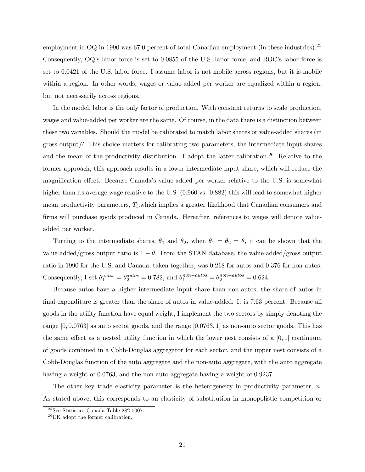employment in OQ in 1990 was 67.0 percent of total Canadian employment (in these industries).<sup>25</sup> Consequently, OQ's labor force is set to 0.0855 of the U.S. labor force, and ROC's labor force is set to 0.0421 of the U.S. labor force. I assume labor is not mobile across regions, but it is mobile within a region. In other words, wages or value-added per worker are equalized within a region, but not necessarily across regions.

In the model, labor is the only factor of production. With constant returns to scale production, wages and value-added per worker are the same. Of course, in the data there is a distinction between these two variables. Should the model be calibrated to match labor shares or value-added shares (in gross output)? This choice matters for calibrating two parameters, the intermediate input shares and the mean of the productivity distribution. I adopt the latter calibration.<sup>26</sup> Relative to the former approach, this approach results in a lower intermediate input share, which will reduce the magnification effect. Because Canada's value-added per worker relative to the U.S. is somewhat higher than its average wage relative to the U.S.  $(0.960 \text{ vs. } 0.882)$  this will lead to somewhat higher mean productivity parameters,  $T_i$ , which implies a greater likelihood that Canadian consumers and firms will purchase goods produced in Canada. Hereafter, references to wages will denote valueadded per worker.

Turning to the intermediate shares,  $\theta_1$  and  $\theta_2$ , when  $\theta_1 = \theta_2 = \theta$ , it can be shown that the value-added/gross output ratio is  $1 - \theta$ . From the STAN database, the value-added/gross output ratio in 1990 for the U.S. and Canada, taken together, was 0.218 for autos and 0.376 for non-autos. Consequently, I set  $\theta_1^{autos} = \theta_2^{autos} = 0.782$ , and  $\theta_1^{non-autos} = \theta_2^{non-autos} = 0.624$ .

Because autos have a higher intermediate input share than non-autos, the share of autos in final expenditure is greater than the share of autos in value-added. It is 7.63 percent. Because all goods in the utility function have equal weight, I implement the two sectors by simply denoting the range [0, 0.0763] as auto sector goods, and the range [0.0763, 1] as non-auto sector goods. This has the same effect as a nested utility function in which the lower nest consists of a  $[0, 1]$  continuum of goods combined in a Cobb-Douglas aggregator for each sector, and the upper nest consists of a Cobb-Douglas function of the auto aggregate and the non-auto aggregate, with the auto aggregate having a weight of 0.0763, and the non-auto aggregate having a weight of 0.9237.

The other key trade elasticity parameter is the heterogeneity in productivity parameter,  $n$ . As stated above, this corresponds to an elasticity of substitution in monopolistic competition or

 $25$ See Statistics Canada Table 282-0007.

 $^{26}$ EK adopt the former calibration.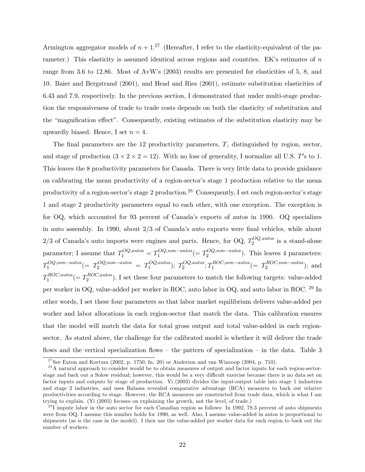Armington aggregator models of  $n + 1<sup>27</sup>$  (Hereafter, I refer to the elasticity-equivalent of the parameter.) This elasticity is assumed identical across regions and countries. EK's estimates of  $n$ range from 3.6 to 12.86. Most of AvW's (2003) results are presented for elasticities of 5, 8, and 10. Baier and Bergstrand (2001), and Head and Ries (2001), estimate substitution elasticities of 6.43 and 7.9, respectively. In the previous section, I demonstrated that under multi-stage production the responsiveness of trade to trade costs depends on both the elasticity of substitution and the "magnification effect". Consequently, existing estimates of the substitution elasticity may be upwardly biased. Hence, I set  $n = 4$ .

The final parameters are the 12 productivity parameters,  $T$ , distinguished by region, sector, and stage of production  $(3 \times 2 \times 2 = 12)$ . With no loss of generality, I normalize all U.S. T's to 1. This leaves the 8 productivity parameters for Canada. There is very little data to provide guidance on calibrating the mean productivity of a region-sector's stage 1 production relative to the mean productivity of a region-sector's stage 2 production.<sup>28</sup> Consequently, I set each region-sector's stage 1 and stage 2 productivity parameters equal to each other, with one exception. The exception is for OQ, which accounted for 93 percent of Canada's exports of autos in 1990. OQ specializes in auto assembly. In 1990, about 2/3 of Canada's auto exports were final vehicles, while about 2/3 of Canada's auto imports were engines and parts. Hence, for OQ,  $T_2^{OQ, auto}$  is a stand-alone parameter; I assume that  $T_1^{OQ, autos} = T_1^{OQ, non-autos}}(= T_2^{OQ, non-autos})$ . This leaves 4 parameters:  $T_1^{OQ,non-autos}(=T_2^{OQ,non-autos}=T_1^{OQ,autos}); T_2^{OQ,autos}; T_1^{ROC,non-autos}(=T_2^{ROC,non-autos});$  and  $T_1^{ROC, autos} (= T_2^{ROC, autos})$ . I set these four parameters to match the following targets: value-added per worker in OQ, value-added per worker in ROC, auto labor in OQ, and auto labor in ROC. <sup>29</sup> In other words, I set these four parameters so that labor market equilibrium delivers value-added per worker and labor allocations in each region-sector that match the data. This calibration ensures that the model will match the data for total gross output and total value-added in each regionsector. As stated above, the challenge for the calibrated model is whether it will deliver the trade flows and the vertical specialization flows – the pattern of specialization – in the data. Table 3

<sup>&</sup>lt;sup>27</sup>See Eaton and Kortum (2002, p. 1750, fn. 20) or Anderson and van Wincoop (2004, p. 710).

 $^{28}$ A natural approach to consider would be to obtain measures of output and factor inputs for each region-sectorstage and back out a Solow residual; however, this would be a very difficult exercise because there is no data set on factor inputs and outputs by stage of production. Yi (2003) divides the input-output table into stage 1 industries and stage 2 industries, and uses Balassa revealed comparative advantage (RCA) measures to back out relative productivities according to stage. However, the RCA measures are constructed from trade data, which is what I am trying to explain. (Yi (2003) focuses on explaining the growth, not the level, of trade.)

 $^{29}$ I impute labor in the auto sector for each Canadian region as follows: In 1992, 78.3 percent of auto shipments were from OQ. I assume this number holds for 1990, as well. Also, I assume value-added in autos is proportional to shipments (as is the case in the model). I then use the value-added per worker data for each region to back out the number of workers.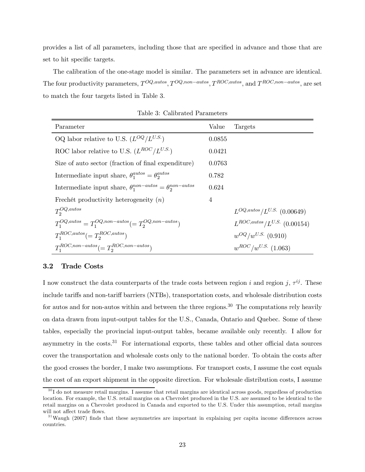provides a list of all parameters, including those that are specified in advance and those that are set to hit specific targets.

The calibration of the one-stage model is similar. The parameters set in advance are identical. The four productivity parameters,  $T^{OQ, auto}$ ,  $T^{OQ, non-autos}$ ,  $T^{ROC, auto}$ , and  $T^{ROC, non-autos}$ , are set to match the four targets listed in Table 3.

| Parameter                                                               | Value  | Targets                             |
|-------------------------------------------------------------------------|--------|-------------------------------------|
| OQ labor relative to U.S. $(L^{OQ}/L^{U.S.})$                           | 0.0855 |                                     |
| ROC labor relative to U.S. $(L^{ROC}/L^{U.S.})$                         | 0.0421 |                                     |
| Size of auto sector (fraction of final expenditure)                     | 0.0763 |                                     |
| Intermediate input share, $\theta_1^{autos} = \theta_2^{autos}$         | 0.782  |                                     |
| Intermediate input share, $\theta_1^{non-autos} = \theta_2^{non-autos}$ | 0.624  |                                     |
| Frechét productivity heterogeneity $(n)$                                | 4      |                                     |
| $T_2^{OQ,autos}$                                                        |        | $L^{OQ,autos}/L^{U.S.}$ (0.00649)   |
| $T_1^{OQ, autos} = T_1^{OQ, non-autos} (= T_2^{OQ, non-autos})$         |        | $L^{ROC, autos}/L^{U.S.}$ (0.00154) |
| $T_1^{ROC, autos} (= T_2^{ROC, autos})$                                 |        | $w^{OQ}/w^{U.S.}$ (0.910)           |
| $T_1^{ROC, non-autos} (= T_2^{ROC, non-autos})$                         |        | $w^{ROC}/w^{U.S.}$ (1.063)          |

Table 3: Calibrated Parameters

## 3.2 Trade Costs

I now construct the data counterparts of the trade costs between region i and region j,  $\tau^{ij}$ . These include tariffs and non-tariff barriers (NTBs), transportation costs, and wholesale distribution costs for autos and for non-autos within and between the three regions.<sup>30</sup> The computations rely heavily on data drawn from input-output tables for the U.S., Canada, Ontario and Quebec. Some of these tables, especially the provincial input-output tables, became available only recently. I allow for asymmetry in the costs.<sup>31</sup> For international exports, these tables and other official data sources cover the transportation and wholesale costs only to the national border. To obtain the costs after the good crosses the border, I make two assumptions. For transport costs, I assume the cost equals the cost of an export shipment in the opposite direction. For wholesale distribution costs, I assume

 $30$  I do not measure retail margins. I assume that retail margins are identical across goods, regardless of production location. For example, the U.S. retail margins on a Chevrolet produced in the U.S. are assumed to be identical to the retail margins on a Chevrolet produced in Canada and exported to the U.S. Under this assumption, retail margins will not affect trade flows.

<sup>&</sup>lt;sup>31</sup> Waugh (2007) finds that these asymmetries are important in explaining per capita income differences across countries.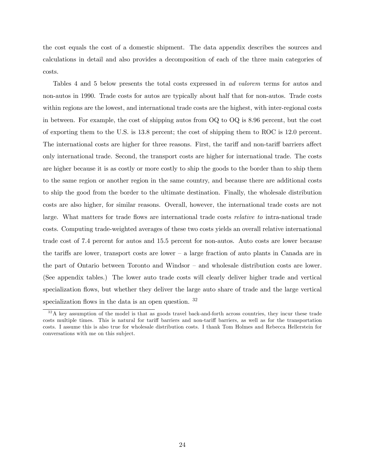the cost equals the cost of a domestic shipment. The data appendix describes the sources and calculations in detail and also provides a decomposition of each of the three main categories of costs.

Tables 4 and 5 below presents the total costs expressed in ad valorem terms for autos and non-autos in 1990. Trade costs for autos are typically about half that for non-autos. Trade costs within regions are the lowest, and international trade costs are the highest, with inter-regional costs in between. For example, the cost of shipping autos from OQ to OQ is 8.96 percent, but the cost of exporting them to the U.S. is 13.8 percent; the cost of shipping them to ROC is 12.0 percent. The international costs are higher for three reasons. First, the tariff and non-tariff barriers affect only international trade. Second, the transport costs are higher for international trade. The costs are higher because it is as costly or more costly to ship the goods to the border than to ship them to the same region or another region in the same country, and because there are additional costs to ship the good from the border to the ultimate destination. Finally, the wholesale distribution costs are also higher, for similar reasons. Overall, however, the international trade costs are not large. What matters for trade flows are international trade costs relative to intra-national trade costs. Computing trade-weighted averages of these two costs yields an overall relative international trade cost of 7.4 percent for autos and 15.5 percent for non-autos. Auto costs are lower because the tariffs are lower, transport costs are lower  $-$  a large fraction of auto plants in Canada are in the part of Ontario between Toronto and Windsor — and wholesale distribution costs are lower. (See appendix tables.) The lower auto trade costs will clearly deliver higher trade and vertical specialization flows, but whether they deliver the large auto share of trade and the large vertical specialization flows in the data is an open question.  $32$ 

 $32A$  key assumption of the model is that as goods travel back-and-forth across countries, they incur these trade costs multiple times. This is natural for tariff barriers and non-tariff barriers, as well as for the transportation costs. I assume this is also true for wholesale distribution costs. I thank Tom Holmes and Rebecca Hellerstein for conversations with me on this subject.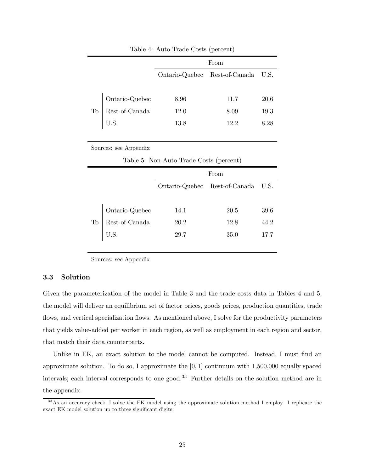|                                                                                                           | From |                                    |
|-----------------------------------------------------------------------------------------------------------|------|------------------------------------|
|                                                                                                           |      |                                    |
|                                                                                                           |      |                                    |
| 8.96                                                                                                      | 11.7 | 20.6                               |
| 12.0                                                                                                      | 8.09 | 19.3                               |
| 13.8                                                                                                      | 12.2 | 8.28                               |
| $\begin{tabular}{ l } \hline & Ontario-Quebec\\ \hline To & Rest-of-Canada\\ U.S.\\ \hline \end{tabular}$ |      | Ontario-Quebec Rest-of-Canada U.S. |

Table 4: Auto Trade Costs (percent)

Sources: see Appendix

| Table 5: Non-Auto Trade Costs (percent) |                                                                                                                                                                                                                    |                                    |      |      |  |  |  |
|-----------------------------------------|--------------------------------------------------------------------------------------------------------------------------------------------------------------------------------------------------------------------|------------------------------------|------|------|--|--|--|
|                                         | From                                                                                                                                                                                                               |                                    |      |      |  |  |  |
|                                         |                                                                                                                                                                                                                    | Ontario-Quebec Rest-of-Canada U.S. |      |      |  |  |  |
|                                         |                                                                                                                                                                                                                    |                                    |      |      |  |  |  |
|                                         | $\begin{tabular}{ l } \hline \multicolumn{3}{ l }{\text{Ontario-Queuebec}}\\ \hline \multicolumn{3}{ l }{\text{Tot-}\text{of-Canada}}\\ \hline \multicolumn{3}{ l }{\text{Rest-of-Canada}}\\ \hline \end{tabular}$ | 14.1                               | 20.5 | 39.6 |  |  |  |
|                                         |                                                                                                                                                                                                                    | 20.2                               | 12.8 | 44.2 |  |  |  |
|                                         | U.S.                                                                                                                                                                                                               | 29.7                               | 35.0 | 17.7 |  |  |  |
|                                         |                                                                                                                                                                                                                    |                                    |      |      |  |  |  |

Sources: see Appendix

# 3.3 Solution

Given the parameterization of the model in Table 3 and the trade costs data in Tables 4 and 5, the model will deliver an equilibrium set of factor prices, goods prices, production quantities, trade flows, and vertical specialization flows. As mentioned above, I solve for the productivity parameters that yields value-added per worker in each region, as well as employment in each region and sector, that match their data counterparts.

Unlike in EK, an exact solution to the model cannot be computed. Instead, I must find an approximate solution. To do so, I approximate the  $[0, 1]$  continuum with  $1,500,000$  equally spaced intervals; each interval corresponds to one good.<sup>33</sup> Further details on the solution method are in the appendix.

<sup>&</sup>lt;sup>33</sup>As an accuracy check, I solve the EK model using the approximate solution method I employ. I replicate the exact EK model solution up to three significant digits.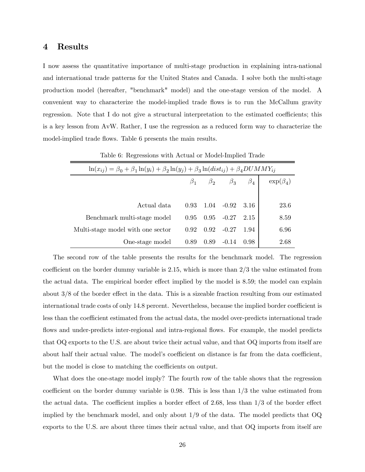# 4 Results

I now assess the quantitative importance of multi-stage production in explaining intra-national and international trade patterns for the United States and Canada. I solve both the multi-stage production model (hereafter, "benchmark" model) and the one-stage version of the model. A convenient way to characterize the model-implied trade flows is to run the McCallum gravity regression. Note that I do not give a structural interpretation to the estimated coefficients; this is a key lesson from AvW. Rather, I use the regression as a reduced form way to characterize the model-implied trade flows. Table 6 presents the main results.

 $ln(x_{ij}) = \beta_0 + \beta_1 ln(y_i) + \beta_2 ln(y_j) + \beta_3 ln(dist_{ij}) + \beta_4 DUMMY_{ij}$  $\beta_1$   $\beta_2$   $\beta_3$   $\beta_4$   $\exp(\beta_4)$ Actual data 0.93 1.04 -0.92 3.16 23.6 Benchmark multi-stage model  $0.95 \t 0.95 \t -0.27 \t 2.15$  8.59 Multi-stage model with one sector  $0.92 \quad 0.92 \quad -0.27 \quad 1.94$  6.96 One-stage model  $0.89 \quad 0.89 \quad -0.14 \quad 0.98$  | 2.68

Table 6: Regressions with Actual or Model-Implied Trade

The second row of the table presents the results for the benchmark model. The regression coefficient on the border dummy variable is  $2.15$ , which is more than  $2/3$  the value estimated from the actual data. The empirical border effect implied by the model is 8.59; the model can explain about 3/8 of the border effect in the data. This is a sizeable fraction resulting from our estimated international trade costs of only 14.8 percent. Nevertheless, because the implied border coefficient is less than the coefficient estimated from the actual data, the model over-predicts international trade flows and under-predicts inter-regional and intra-regional flows. For example, the model predicts that OQ exports to the U.S. are about twice their actual value, and that OQ imports from itself are about half their actual value. The model's coefficient on distance is far from the data coefficient, but the model is close to matching the coefficients on output.

What does the one-stage model imply? The fourth row of the table shows that the regression coefficient on the border dummy variable is 0.98. This is less than 1/3 the value estimated from the actual data. The coefficient implies a border effect of 2.68, less than 1/3 of the border effect implied by the benchmark model, and only about 1/9 of the data. The model predicts that OQ exports to the U.S. are about three times their actual value, and that OQ imports from itself are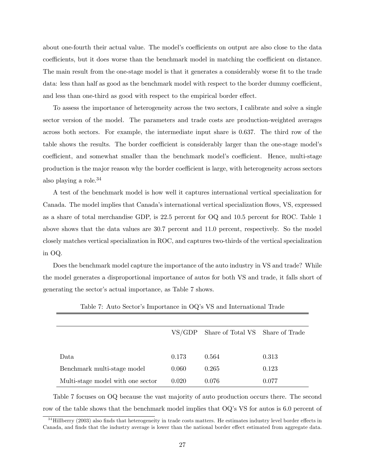about one-fourth their actual value. The model's coefficients on output are also close to the data coefficients, but it does worse than the benchmark model in matching the coefficient on distance. The main result from the one-stage model is that it generates a considerably worse fit to the trade data: less than half as good as the benchmark model with respect to the border dummy coefficient, and less than one-third as good with respect to the empirical border effect.

To assess the importance of heterogeneity across the two sectors, I calibrate and solve a single sector version of the model. The parameters and trade costs are production-weighted averages across both sectors. For example, the intermediate input share is 0.637. The third row of the table shows the results. The border coefficient is considerably larger than the one-stage model's coefficient, and somewhat smaller than the benchmark model's coefficient. Hence, multi-stage production is the major reason why the border coefficient is large, with heterogeneity across sectors also playing a role.34

A test of the benchmark model is how well it captures international vertical specialization for Canada. The model implies that Canada's international vertical specialization flows, VS, expressed as a share of total merchandise GDP, is 22.5 percent for OQ and 10.5 percent for ROC. Table 1 above shows that the data values are 30.7 percent and 11.0 percent, respectively. So the model closely matches vertical specialization in ROC, and captures two-thirds of the vertical specialization in OQ.

Does the benchmark model capture the importance of the auto industry in VS and trade? While the model generates a disproportional importance of autos for both VS and trade, it falls short of generating the sector's actual importance, as Table 7 shows.

|                                   | VS/GDP | Share of Total VS Share of Trade |       |
|-----------------------------------|--------|----------------------------------|-------|
|                                   |        |                                  |       |
| Data                              | 0.173  | 0.564                            | 0.313 |
| Benchmark multi-stage model       | 0.060  | 0.265                            | 0.123 |
| Multi-stage model with one sector | 0.020  | 0.076                            | 0.077 |

Table 7: Auto Sector's Importance in OQ's VS and International Trade

Table 7 focuses on OQ because the vast majority of auto production occurs there. The second row of the table shows that the benchmark model implies that OQ's VS for autos is 6.0 percent of

 $34$ Hillberry (2003) also finds that heterogeneity in trade costs matters. He estimates industry level border effects in Canada, and finds that the industry average is lower than the national border effect estimated from aggregate data.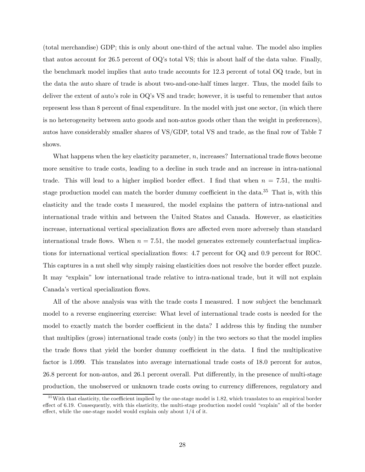(total merchandise) GDP; this is only about one-third of the actual value. The model also implies that autos account for 26.5 percent of OQ's total VS; this is about half of the data value. Finally, the benchmark model implies that auto trade accounts for 12.3 percent of total OQ trade, but in the data the auto share of trade is about two-and-one-half times larger. Thus, the model fails to deliver the extent of auto's role in OQ's VS and trade; however, it is useful to remember that autos represent less than 8 percent of final expenditure. In the model with just one sector, (in which there is no heterogeneity between auto goods and non-autos goods other than the weight in preferences), autos have considerably smaller shares of VS/GDP, total VS and trade, as the final row of Table 7 shows.

What happens when the key elasticity parameter,  $n$ , increases? International trade flows become more sensitive to trade costs, leading to a decline in such trade and an increase in intra-national trade. This will lead to a higher implied border effect. I find that when  $n = 7.51$ , the multistage production model can match the border dummy coefficient in the data.<sup>35</sup> That is, with this elasticity and the trade costs I measured, the model explains the pattern of intra-national and international trade within and between the United States and Canada. However, as elasticities increase, international vertical specialization flows are affected even more adversely than standard international trade flows. When  $n = 7.51$ , the model generates extremely counterfactual implications for international vertical specialization flows: 4.7 percent for OQ and 0.9 percent for ROC. This captures in a nut shell why simply raising elasticities does not resolve the border effect puzzle. It may "explain" low international trade relative to intra-national trade, but it will not explain Canada's vertical specialization flows.

All of the above analysis was with the trade costs I measured. I now subject the benchmark model to a reverse engineering exercise: What level of international trade costs is needed for the model to exactly match the border coefficient in the data? I address this by finding the number that multiplies (gross) international trade costs (only) in the two sectors so that the model implies the trade flows that yield the border dummy coefficient in the data. I find the multiplicative factor is 1.099. This translates into average international trade costs of 18.0 percent for autos, 26.8 percent for non-autos, and 26.1 percent overall. Put differently, in the presence of multi-stage production, the unobserved or unknown trade costs owing to currency differences, regulatory and

 $35$  With that elasticity, the coefficient implied by the one-stage model is 1.82, which translates to an empirical border effect of 6.19. Consequently, with this elasticity, the multi-stage production model could "explain" all of the border effect, while the one-stage model would explain only about 1/4 of it.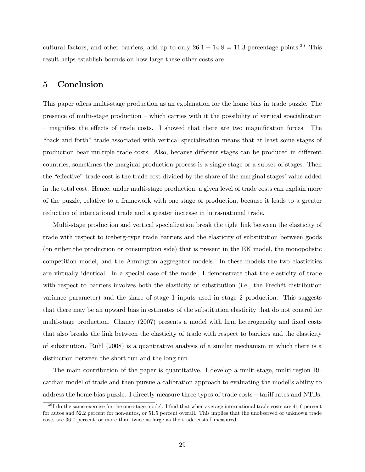cultural factors, and other barriers, add up to only  $26.1 - 14.8 = 11.3$  percentage points.<sup>36</sup> This result helps establish bounds on how large these other costs are.

# 5 Conclusion

This paper offers multi-stage production as an explanation for the home bias in trade puzzle. The presence of multi-stage production — which carries with it the possibility of vertical specialization — magnifies the effects of trade costs. I showed that there are two magnification forces. The "back and forth" trade associated with vertical specialization means that at least some stages of production bear multiple trade costs. Also, because different stages can be produced in different countries, sometimes the marginal production process is a single stage or a subset of stages. Then the "effective" trade cost is the trade cost divided by the share of the marginal stages' value-added in the total cost. Hence, under multi-stage production, a given level of trade costs can explain more of the puzzle, relative to a framework with one stage of production, because it leads to a greater reduction of international trade and a greater increase in intra-national trade.

Multi-stage production and vertical specialization break the tight link between the elasticity of trade with respect to iceberg-type trade barriers and the elasticity of substitution between goods (on either the production or consumption side) that is present in the EK model, the monopolistic competition model, and the Armington aggregator models. In these models the two elasticities are virtually identical. In a special case of the model, I demonstrate that the elasticity of trade with respect to barriers involves both the elasticity of substitution (i.e., the Frechét distribution variance parameter) and the share of stage 1 inputs used in stage 2 production. This suggests that there may be an upward bias in estimates of the substitution elasticity that do not control for multi-stage production. Chaney (2007) presents a model with firm heterogeneity and fixed costs that also breaks the link between the elasticity of trade with respect to barriers and the elasticity of substitution. Ruhl (2008) is a quantitative analysis of a similar mechanism in which there is a distinction between the short run and the long run.

The main contribution of the paper is quantitative. I develop a multi-stage, multi-region Ricardian model of trade and then pursue a calibration approach to evaluating the model's ability to address the home bias puzzle. I directly measure three types of trade costs — tariff rates and NTBs,

 $36$ I do the same exercise for the one-stage model. I find that when average international trade costs are 41.6 percent for autos and 52.2 percent for non-autos, or 51.5 percent overall. This implies that the unobserved or unknown trade costs are 36.7 percent, or more than twice as large as the trade costs I measured.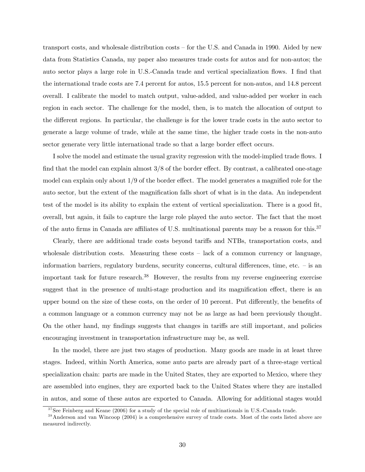transport costs, and wholesale distribution costs — for the U.S. and Canada in 1990. Aided by new data from Statistics Canada, my paper also measures trade costs for autos and for non-autos; the auto sector plays a large role in U.S.-Canada trade and vertical specialization flows. I find that the international trade costs are 7.4 percent for autos, 15.5 percent for non-autos, and 14.8 percent overall. I calibrate the model to match output, value-added, and value-added per worker in each region in each sector. The challenge for the model, then, is to match the allocation of output to the different regions. In particular, the challenge is for the lower trade costs in the auto sector to generate a large volume of trade, while at the same time, the higher trade costs in the non-auto sector generate very little international trade so that a large border effect occurs.

I solve the model and estimate the usual gravity regression with the model-implied trade flows. I find that the model can explain almost 3/8 of the border effect. By contrast, a calibrated one-stage model can explain only about 1/9 of the border effect. The model generates a magnified role for the auto sector, but the extent of the magnification falls short of what is in the data. An independent test of the model is its ability to explain the extent of vertical specialization. There is a good fit, overall, but again, it fails to capture the large role played the auto sector. The fact that the most of the auto firms in Canada are affiliates of U.S. multinational parents may be a reason for this.37

Clearly, there are additional trade costs beyond tariffs and NTBs, transportation costs, and wholesale distribution costs. Measuring these costs - lack of a common currency or language, information barriers, regulatory burdens, security concerns, cultural differences, time, etc. — is an important task for future research.<sup>38</sup> However, the results from my reverse engineering exercise suggest that in the presence of multi-stage production and its magnification effect, there is an upper bound on the size of these costs, on the order of 10 percent. Put differently, the benefits of a common language or a common currency may not be as large as had been previously thought. On the other hand, my findings suggests that changes in tariffs are still important, and policies encouraging investment in transportation infrastructure may be, as well.

In the model, there are just two stages of production. Many goods are made in at least three stages. Indeed, within North America, some auto parts are already part of a three-stage vertical specialization chain: parts are made in the United States, they are exported to Mexico, where they are assembled into engines, they are exported back to the United States where they are installed in autos, and some of these autos are exported to Canada. Allowing for additional stages would

<sup>&</sup>lt;sup>37</sup>See Feinberg and Keane (2006) for a study of the special role of multinationals in U.S.-Canada trade.

<sup>&</sup>lt;sup>38</sup>Anderson and van Wincoop (2004) is a comprehensive survey of trade costs. Most of the costs listed above are measured indirectly.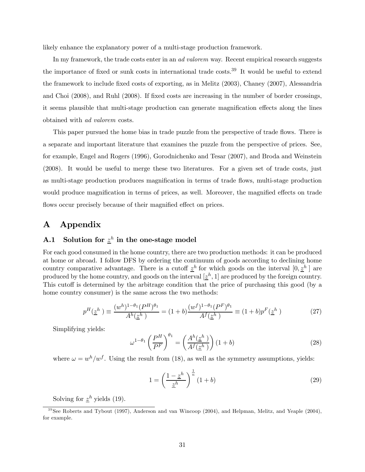likely enhance the explanatory power of a multi-stage production framework.

In my framework, the trade costs enter in an *ad valorem* way. Recent empirical research suggests the importance of fixed or sunk costs in international trade costs.<sup>39</sup> It would be useful to extend the framework to include fixed costs of exporting, as in Melitz (2003), Chaney (2007), Alessandria and Choi (2008), and Ruhl (2008). If fixed costs are increasing in the number of border crossings, it seems plausible that multi-stage production can generate magnification effects along the lines obtained with ad valorem costs.

This paper pursued the home bias in trade puzzle from the perspective of trade flows. There is a separate and important literature that examines the puzzle from the perspective of prices. See, for example, Engel and Rogers (1996), Gorodnichenko and Tesar (2007), and Broda and Weinstein (2008). It would be useful to merge these two literatures. For a given set of trade costs, just as multi-stage production produces magnification in terms of trade flows, multi-stage production would produce magnification in terms of prices, as well. Moreover, the magnified effects on trade flows occur precisely because of their magnified effect on prices.

# A Appendix

# A.1 Solution for  $z^h$  in the one-stage model

For each good consumed in the home country, there are two production methods: it can be produced at home or abroad. I follow DFS by ordering the continuum of goods according to declining home country comparative advantage. There is a cutoff  $\underline{z}^h$  for which goods on the interval  $[0, \underline{z}^h]$  are produced by the home country, and goods on the interval  $[\underline{z}^h, 1]$  are produced by the foreign country. This cutoff is determined by the arbitrage condition that the price of purchasing this good (by a home country consumer) is the same across the two methods:

$$
p^{H}(\underline{z}^{h}) \equiv \frac{(w^{h})^{1-\theta_{1}}(P^{H})^{\theta_{1}}}{A^{h}(\underline{z}^{h})} = (1+b)\frac{(w^{f})^{1-\theta_{1}}(P^{F})^{\theta_{1}}}{A^{f}(\underline{z}^{h})} \equiv (1+b)p^{F}(\underline{z}^{h})
$$
\n(27)

Simplifying yields:

$$
\omega^{1-\theta_1} \left(\frac{P^H}{P^F}\right)^{\theta_1} = \left(\frac{A^h(\underline{z}^h)}{A^f(\underline{z}^h)}\right)(1+b) \tag{28}
$$

where  $\omega = w^h/w^f$ . Using the result from (18), as well as the symmetry assumptions, yields:

$$
1 = \left(\frac{1 - \underline{z}^h}{\underline{z}^h}\right)^{\frac{1}{n}} (1 + b) \tag{29}
$$

Solving for  $z^h$  yields (19).

 $39$ See Roberts and Tybout (1997), Anderson and van Wincoop (2004), and Helpman, Melitz, and Yeaple (2004), for example.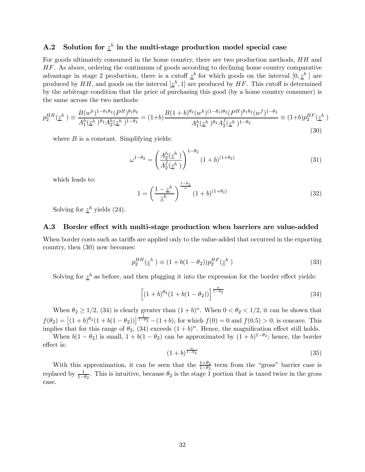# A.2 Solution for  $\underline{z}^h$  in the multi-stage production model special case

For goods ultimately consumed in the home country, there are two production methods, HH and HF. As above, ordering the continuum of goods according to declining home country comparative advantage in stage 2 production, there is a cutoff  $\underline{z}^h$  for which goods on the interval  $[0, \underline{z}^h]$  are produced by  $HH$ , and goods on the interval  $[\underline{z}^h, 1]$  are produced by  $HF$ . This cutoff is determined by the arbitrage condition that the price of purchasing this good (by a home country consumer) is the same across the two methods:

$$
p_2^{HH}(\underline{z}^h) \equiv \frac{B(w^h)^{1-\theta_1\theta_2}(P^H)^{\theta_1\theta_2}}{A_1^h(\underline{z}^h)^{\theta_2}A_2^h(\underline{z}^h)^{1-\theta_2}} = (1+b)\frac{B(1+b)^{\theta_2}(w^h)^{(1-\theta_1)\theta_2}(P^H)^{\theta_1\theta_2}(w^f)^{1-\theta_2}}{A_1^h(\underline{z}^h)^{\theta_2}A_2^f(\underline{z}^h)^{1-\theta_2}} \equiv (1+b)p_2^{HF}(\underline{z}^h)
$$
\n(30)

where  $B$  is a constant. Simplifying yields:

$$
\omega^{1-\theta_2} = \left(\frac{A_2^h(\underline{z}^h)}{A_2^f(\underline{z}^h)}\right)^{1-\theta_2} (1+b)^{(1+\theta_2)}\tag{31}
$$

which leads to:

$$
1 = \left(\frac{1 - \underline{z}^h}{\underline{z}^h}\right)^{\frac{1 - \theta_2}{n}} (1 + b)^{(1 + \theta_2)} \tag{32}
$$

Solving for  $\underline{z}^h$  yields (24).

# A.3 Border effect with multi-stage production when barriers are value-added

When border costs such as tariffs are applied only to the value-added that occurred in the exporting country, then (30) now becomes:

$$
p_2^{HH}(\underline{z}^h) \equiv (1 + b(1 - \theta_2)) p_2^{HF}(\underline{z}^h)
$$
\n(33)

Solving for  $\underline{z}^h$  as before, and then plugging it into the expression for the border effect yields:

$$
\left[ (1+b)^{\theta_2} (1+b(1-\theta_2)) \right]^{\frac{n}{1-\theta_2}} \tag{34}
$$

When  $\theta_2 \ge 1/2$ , (34) is clearly greater than  $(1+b)^n$ . When  $0 < \theta_2 < 1/2$ , it can be shown that  $f(\theta_2) = \left[ (1+b)^{\theta_2} (1+b(1-\theta_2)) \right]^{1-\theta_2} - (1+b)$ , for which  $f(0) = 0$  and  $f(0.5) > 0$ , is concave. This implies that for this range of  $\theta_2$ , (34) exceeds  $(1 + b)^n$ . Hence, the magnification effect still holds.

When  $b(1 - \theta_2)$  is small,  $1 + b(1 - \theta_2)$  can be approximated by  $(1 + b)^{1-\theta_2}$ ; hence, the border effect is:

$$
(1+b)^{\frac{n}{1-\theta_2}}\tag{35}
$$

With this approximation, it can be seen that the  $\frac{1+\theta_2}{1-\theta_2}$  term from the "gross" barrier case is replaced by  $\frac{1}{1-\theta_2}$ . This is intuitive, because  $\theta_2$  is the stage  $\overline{1}$  portion that is taxed twice in the gross case.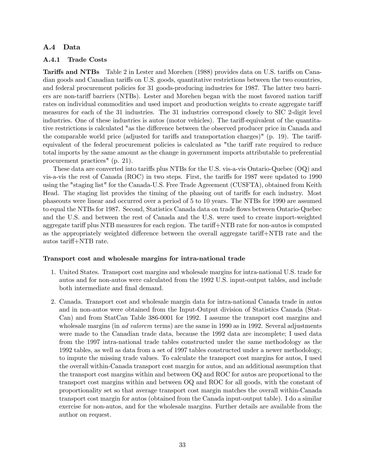## A.4 Data

## A.4.1 Trade Costs

Tariffs and NTBs Table 2 in Lester and Morehen (1988) provides data on U.S. tariffs on Canadian goods and Canadian tariffs on U.S. goods, quantitative restrictions between the two countries, and federal procurement policies for 31 goods-producing industries for 1987. The latter two barriers are non-tariff barriers (NTBs). Lester and Morehen began with the most favored nation tariff rates on individual commodities and used import and production weights to create aggregate tariff measures for each of the 31 industries. The 31 industries correspond closely to SIC 2-digit level industries. One of these industries is autos (motor vehicles). The tariff-equivalent of the quantitative restrictions is calculated "as the difference between the observed producer price in Canada and the comparable world price (adjusted for tariffs and transportation charges)" (p. 19). The tariffequivalent of the federal procurement policies is calculated as "the tariff rate required to reduce total imports by the same amount as the change in government imports attributable to preferential procurement practices" (p. 21).

These data are converted into tariffs plus NTBs for the U.S. vis-a-vis Ontario-Quebec (OQ) and vis-a-vis the rest of Canada (ROC) in two steps. First, the tariffs for 1987 were updated to 1990 using the "staging list" for the Canada-U.S. Free Trade Agreement (CUSFTA), obtained from Keith Head. The staging list provides the timing of the phasing out of tariffs for each industry. Most phaseouts were linear and occurred over a period of 5 to 10 years. The NTBs for 1990 are assumed to equal the NTBs for 1987. Second, Statistics Canada data on trade flows between Ontario-Quebec and the U.S. and between the rest of Canada and the U.S. were used to create import-weighted aggregate tariff plus NTB measures for each region. The tariff+NTB rate for non-autos is computed as the appropriately weighted difference between the overall aggregate tariff+NTB rate and the autos tariff+NTB rate.

#### Transport cost and wholesale margins for intra-national trade

- 1. United States. Transport cost margins and wholesale margins for intra-national U.S. trade for autos and for non-autos were calculated from the 1992 U.S. input-output tables, and include both intermediate and final demand.
- 2. Canada. Transport cost and wholesale margin data for intra-national Canada trade in autos and in non-autos were obtained from the Input-Output division of Statistics Canada (Stat-Can) and from StatCan Table 386-0001 for 1992. I assume the transport cost margins and wholesale margins (in *ad valorem* terms) are the same in 1990 as in 1992. Several adjustments were made to the Canadian trade data, because the 1992 data are incomplete; I used data from the 1997 intra-national trade tables constructed under the same methodology as the 1992 tables, as well as data from a set of 1997 tables constructed under a newer methodology, to impute the missing trade values. To calculate the transport cost margins for autos, I used the overall within-Canada transport cost margin for autos, and an additional assumption that the transport cost margins within and between OQ and ROC for autos are proportional to the transport cost margins within and between OQ and ROC for all goods, with the constant of proportionality set so that average transport cost margin matches the overall within-Canada transport cost margin for autos (obtained from the Canada input-output table). I do a similar exercise for non-autos, and for the wholesale margins. Further details are available from the author on request.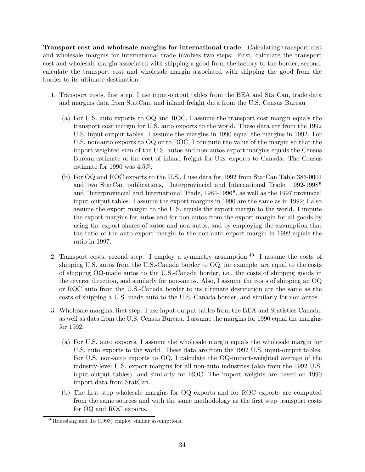Transport cost and wholesale margins for international trade Calculating transport cost and wholesale margins for international trade involves two steps: First, calculate the transport cost and wholesale margin associated with shipping a good from the factory to the border; second, calculate the transport cost and wholesale margin associated with shipping the good from the border to its ultimate destination.

- 1. Transport costs, first step. I use input-output tables from the BEA and StatCan, trade data and margins data from StatCan, and inland freight data from the U.S. Census Bureau
	- (a) For U.S. auto exports to OQ and ROC, I assume the transport cost margin equals the transport cost margin for U.S. auto exports to the world. These data are from the 1992 U.S. input-output tables. I assume the margins in 1990 equal the margins in 1992. For U.S. non-auto exports to OQ or to ROC, I compute the value of the margin so that the import-weighted sum of the U.S. autos and non-autos export margins equals the Census Bureau estimate of the cost of inland freight for U.S. exports to Canada. The Census estimate for 1990 was 4.5%.
	- (b) For OQ and ROC exports to the U.S., I use data for 1992 from StatCan Table 386-0001 and two StatCan publications, "Interprovincial and International Trade, 1992-1998" and "Interprovincial and International Trade, 1984-1996", as well as the 1997 provincial input-output tables. I assume the export margins in 1990 are the same as in 1992; I also assume the export margin to the U.S. equals the export margin to the world. I impute the export margins for autos and for non-autos from the export margin for all goods by using the export shares of autos and non-autos, and by employing the assumption that the ratio of the auto export margin to the non-auto export margin in 1992 equals the ratio in 1997.
- 2. Transport costs, second step. I employ a symmetry assumption.<sup>40</sup> I assume the costs of shipping U.S. autos from the U.S.-Canada border to OQ, for example, are equal to the costs of shipping OQ-made autos to the U.S.-Canada border, i.e., the costs of shipping goods in the reverse direction, and similarly for non-autos. Also, I assume the costs of shipping an OQ or ROC auto from the U.S.-Canada border to its ultimate destination are the same as the costs of shipping a U.S.-made auto to the U.S.-Canada border, and similarly for non-autos.
- 3. Wholesale margins, first step. I use input-output tables from the BEA and Statistics Canada, as well as data from the U.S. Census Bureau. I assume the margins for 1990 equal the margins for 1992.
	- (a) For U.S. auto exports, I assume the wholesale margin equals the wholesale margin for U.S. auto exports to the world. These data are from the 1992 U.S. input-output tables. For U.S. non-auto exports to OQ, I calculate the OQ-import-weighted average of the industry-level U.S. export margins for all non-auto industries (also from the 1992 U.S. input-output tables), and similarly for ROC. The import weights are based on 1990 import data from StatCan.
	- (b) The first step wholesale margins for OQ exports and for ROC exports are computed from the same sources and with the same methodology as the first step transport costs for OQ and ROC exports.

 $40$  Rousslang and To (1993) employ similar assumptions.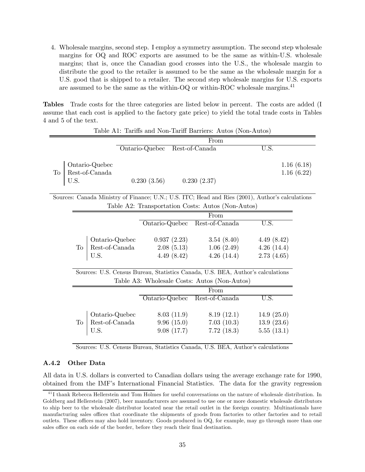4. Wholesale margins, second step. I employ a symmetry assumption. The second step wholesale margins for OQ and ROC exports are assumed to be the same as within-U.S. wholesale margins; that is, once the Canadian good crosses into the U.S., the wholesale margin to distribute the good to the retailer is assumed to be the same as the wholesale margin for a U.S. good that is shipped to a retailer. The second step wholesale margins for U.S. exports are assumed to be the same as the within-OQ or within-ROC wholesale margins.<sup>41</sup>

Tables Trade costs for the three categories are listed below in percent. The costs are added (I assume that each cost is applied to the factory gate price) to yield the total trade costs in Tables 4 and 5 of the text.

| Table A1: Tariffs and Non-Tariff Barriers: Autos (Non-Autos) |             |                               |      |            |  |  |
|--------------------------------------------------------------|-------------|-------------------------------|------|------------|--|--|
|                                                              |             | From                          |      |            |  |  |
|                                                              |             | Ontario-Quebec Rest-of-Canada | U.S. |            |  |  |
|                                                              |             |                               |      |            |  |  |
| To Rest-of-Canada                                            |             |                               |      | 1.16(6.18) |  |  |
|                                                              |             |                               |      | 1.16(6.22) |  |  |
| U.S.                                                         | 0.230(3.56) | 0.230(2.37)                   |      |            |  |  |

Sources: Canada Ministry of Finance; U.N.; U.S. ITC; Head and Ries (2001), Author's calculations Table A2: Transportation Costs: Autos (Non-Autos)

|                                                                                            |                               | From       |            |
|--------------------------------------------------------------------------------------------|-------------------------------|------------|------------|
|                                                                                            | Ontario-Quebec Rest-of-Canada |            | U.S.       |
|                                                                                            |                               |            |            |
|                                                                                            | 0.937(2.23)                   | 3.54(8.40) | 4.49(8.42) |
| $\begin{array}{c c}\n\text{Ontario-Queue} \text{bec} \\ \text{Test-of-Canada} \end{array}$ | 2.08(5.13)                    | 1.06(2.49) | 4.26(14.4) |
| $\perp$ U.S.                                                                               | 4.49(8.42)                    | 4.26(14.4) | 2.73(4.65) |

Sources: U.S. Census Bureau, Statistics Canada, U.S. BEA, Author's calculations Table A3: Wholesale Costs: Autos (Non-Autos)

|                                                                                                                                     |                                        | From                                   |                                        |
|-------------------------------------------------------------------------------------------------------------------------------------|----------------------------------------|----------------------------------------|----------------------------------------|
|                                                                                                                                     |                                        | Ontario-Quebec Rest-of-Canada          | U.S.                                   |
| $\begin{tabular}{ l } \hline \textbf{O}ntario-Quebec}\\ \hline \textbf{To} & Rest-of-Canada\\ \hline \end{tabular}$<br>$\vert$ U.S. | 8.03(11.9)<br>9.96(15.0)<br>9.08(17.7) | 8.19(12.1)<br>7.03(10.3)<br>7.72(18.3) | 14.9(25.0)<br>13.9(23.6)<br>5.55(13.1) |

Sources: U.S. Census Bureau, Statistics Canada, U.S. BEA, Author's calculations

## A.4.2 Other Data

All data in U.S. dollars is converted to Canadian dollars using the average exchange rate for 1990, obtained from the IMF's International Financial Statistics. The data for the gravity regression

 $^{41}$ I thank Rebecca Hellerstein and Tom Holmes for useful conversations on the nature of wholesale distribution. In Goldberg and Hellerstein (2007), beer manufacturers are assumed to use one or more domestic wholesale distributors to ship beer to the wholesale distributor located near the retail outlet in the foreign country. Multinationals have manufacturing sales offices that coordinate the shipments of goods from factories to other factories and to retail outlets. These offices may also hold inventory. Goods produced in OQ, for example, may go through more than one sales office on each side of the border, before they reach their final destination.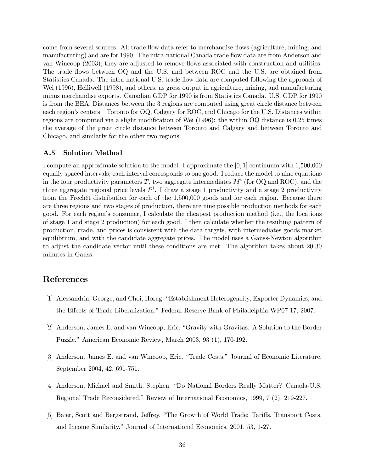come from several sources. All trade flow data refer to merchandise flows (agriculture, mining, and manufacturing) and are for 1990. The intra-national Canada trade flow data are from Anderson and van Wincoop (2003); they are adjusted to remove flows associated with construction and utilities. The trade flows between OQ and the U.S. and between ROC and the U.S. are obtained from Statistics Canada. The intra-national U.S. trade flow data are computed following the approach of Wei (1996), Helliwell (1998), and others, as gross output in agriculture, mining, and manufacturing minus merchandise exports. Canadian GDP for 1990 is from Statistics Canada. U.S. GDP for 1990 is from the BEA. Distances between the 3 regions are computed using great circle distance between each region's centers — Toronto for OQ, Calgary for ROC, and Chicago for the U.S. Distances within regions are computed via a slight modification of Wei (1996): the within OQ distance is 0.25 times the average of the great circle distance between Toronto and Calgary and between Toronto and Chicago, and similarly for the other two regions.

## A.5 Solution Method

I compute an approximate solution to the model. I approximate the [0, 1] continuum with 1,500,000 equally spaced intervals; each interval corresponds to one good. I reduce the model to nine equations in the four productivity parameters T, two aggregate intermediates  $M<sup>i</sup>$  (for OQ and ROC), and the three aggregate regional price levels  $P^i$ . I draw a stage 1 productivity and a stage 2 productivity from the Frechét distribution for each of the 1,500,000 goods and for each region. Because there are three regions and two stages of production, there are nine possible production methods for each good. For each region's consumer, I calculate the cheapest production method (i.e., the locations of stage 1 and stage 2 production) for each good. I then calculate whether the resulting pattern of production, trade, and prices is consistent with the data targets, with intermediates goods market equilibrium, and with the candidate aggregate prices. The model uses a Gauss-Newton algorithm to adjust the candidate vector until these conditions are met. The algorithm takes about 20-30 minutes in Gauss.

# References

- [1] Alessandria, George, and Choi, Horag. "Establishment Heterogeneity, Exporter Dynamics, and the Effects of Trade Liberalization." Federal Reserve Bank of Philadelphia WP07-17, 2007.
- [2] Anderson, James E. and van Wincoop, Eric. "Gravity with Gravitas: A Solution to the Border Puzzle." American Economic Review, March 2003, 93 (1), 170-192.
- [3] Anderson, James E. and van Wincoop, Eric. "Trade Costs." Journal of Economic Literature, September 2004, 42, 691-751.
- [4] Anderson, Michael and Smith, Stephen. "Do National Borders Really Matter? Canada-U.S. Regional Trade Reconsidered." Review of International Economics, 1999, 7 (2), 219-227.
- [5] Baier, Scott and Bergstrand, Jeffrey. "The Growth of World Trade: Tariffs, Transport Costs, and Income Similarity." Journal of International Economics, 2001, 53, 1-27.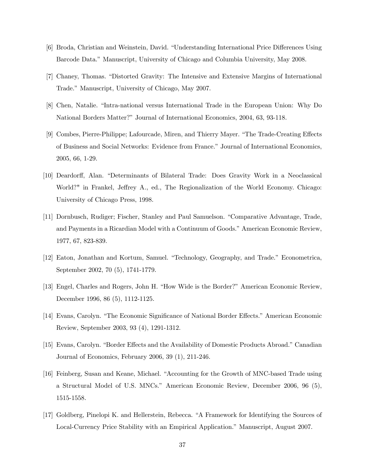- [6] Broda, Christian and Weinstein, David. "Understanding International Price Differences Using Barcode Data." Manuscript, University of Chicago and Columbia University, May 2008.
- [7] Chaney, Thomas. "Distorted Gravity: The Intensive and Extensive Margins of International Trade." Manuscript, University of Chicago, May 2007.
- [8] Chen, Natalie. "Intra-national versus International Trade in the European Union: Why Do National Borders Matter?" Journal of International Economics, 2004, 63, 93-118.
- [9] Combes, Pierre-Philippe; Lafourcade, Miren, and Thierry Mayer. "The Trade-Creating Effects of Business and Social Networks: Evidence from France." Journal of International Economics, 2005, 66, 1-29.
- [10] Deardorff, Alan. "Determinants of Bilateral Trade: Does Gravity Work in a Neoclassical World?" in Frankel, Jeffrey A., ed., The Regionalization of the World Economy. Chicago: University of Chicago Press, 1998.
- [11] Dornbusch, Rudiger; Fischer, Stanley and Paul Samuelson. "Comparative Advantage, Trade, and Payments in a Ricardian Model with a Continuum of Goods." American Economic Review, 1977, 67, 823-839.
- [12] Eaton, Jonathan and Kortum, Samuel. "Technology, Geography, and Trade." Econometrica, September 2002, 70 (5), 1741-1779.
- [13] Engel, Charles and Rogers, John H. "How Wide is the Border?" American Economic Review, December 1996, 86 (5), 1112-1125.
- [14] Evans, Carolyn. "The Economic Significance of National Border Effects." American Economic Review, September 2003, 93 (4), 1291-1312.
- [15] Evans, Carolyn. "Border Effects and the Availability of Domestic Products Abroad." Canadian Journal of Economics, February 2006, 39 (1), 211-246.
- [16] Feinberg, Susan and Keane, Michael. "Accounting for the Growth of MNC-based Trade using a Structural Model of U.S. MNCs." American Economic Review, December 2006, 96 (5), 1515-1558.
- [17] Goldberg, Pinelopi K. and Hellerstein, Rebecca. "A Framework for Identifying the Sources of Local-Currency Price Stability with an Empirical Application." Manuscript, August 2007.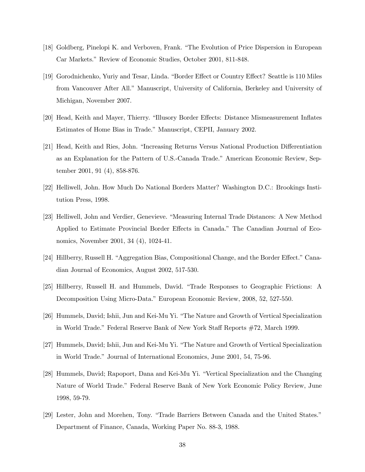- [18] Goldberg, Pinelopi K. and Verboven, Frank. "The Evolution of Price Dispersion in European Car Markets." Review of Economic Studies, October 2001, 811-848.
- [19] Gorodnichenko, Yuriy and Tesar, Linda. "Border Effect or Country Effect? Seattle is 110 Miles from Vancouver After All." Manuscript, University of California, Berkeley and University of Michigan, November 2007.
- [20] Head, Keith and Mayer, Thierry. "Illusory Border Effects: Distance Mismeasurement Inflates Estimates of Home Bias in Trade." Manuscript, CEPII, January 2002.
- [21] Head, Keith and Ries, John. "Increasing Returns Versus National Production Differentiation as an Explanation for the Pattern of U.S.-Canada Trade." American Economic Review, September 2001, 91 (4), 858-876.
- [22] Helliwell, John. How Much Do National Borders Matter? Washington D.C.: Brookings Institution Press, 1998.
- [23] Helliwell, John and Verdier, Genevieve. "Measuring Internal Trade Distances: A New Method Applied to Estimate Provincial Border Effects in Canada." The Canadian Journal of Economics, November 2001, 34 (4), 1024-41.
- [24] Hillberry, Russell H. "Aggregation Bias, Compositional Change, and the Border Effect." Canadian Journal of Economics, August 2002, 517-530.
- [25] Hillberry, Russell H. and Hummels, David. "Trade Responses to Geographic Frictions: A Decomposition Using Micro-Data." European Economic Review, 2008, 52, 527-550.
- [26] Hummels, David; Ishii, Jun and Kei-Mu Yi. "The Nature and Growth of Vertical Specialization in World Trade." Federal Reserve Bank of New York Staff Reports #72, March 1999.
- [27] Hummels, David; Ishii, Jun and Kei-Mu Yi. "The Nature and Growth of Vertical Specialization in World Trade." Journal of International Economics, June 2001, 54, 75-96.
- [28] Hummels, David; Rapoport, Dana and Kei-Mu Yi. "Vertical Specialization and the Changing Nature of World Trade." Federal Reserve Bank of New York Economic Policy Review, June 1998, 59-79.
- [29] Lester, John and Morehen, Tony. "Trade Barriers Between Canada and the United States." Department of Finance, Canada, Working Paper No. 88-3, 1988.